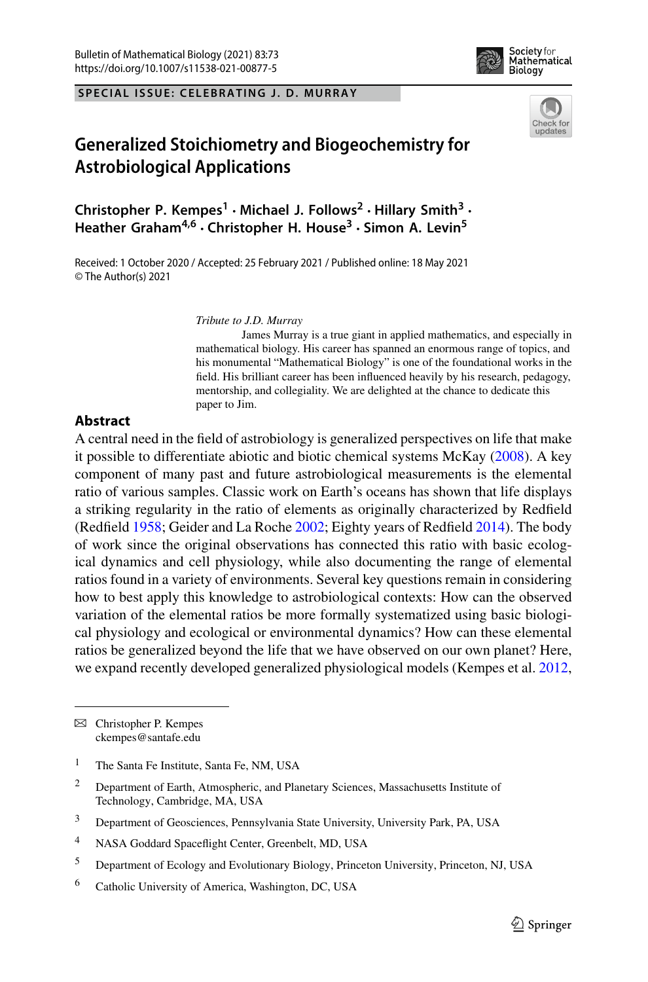**SPECIAL ISSUE: CELEBRATING J. D. MURRAY**





# **Generalized Stoichiometry and Biogeochemistry for Astrobiological Applications**

**Christopher P. Kempes<sup>1</sup> · Michael J. Follows<sup>2</sup> · Hillary Smith<sup>3</sup> · Heather Graham4,6 · Christopher H. House<sup>3</sup> · Simon A. Levin5**

Received: 1 October 2020 / Accepted: 25 February 2021 / Published online: 18 May 2021 © The Author(s) 2021

*Tribute to J.D. Murray*

James Murray is a true giant in applied mathematics, and especially in mathematical biology. His career has spanned an enormous range of topics, and his monumental "Mathematical Biology" is one of the foundational works in the field. His brilliant career has been influenced heavily by his research, pedagogy, mentorship, and collegiality. We are delighted at the chance to dedicate this paper to Jim.

## **Abstract**

A central need in the field of astrobiology is generalized perspectives on life that make it possible to differentiate abiotic and biotic chemical systems McKa[y](#page-20-0) [\(2008\)](#page-20-0). A key component of many past and future astrobiological measurements is the elemental ratio of various samples. Classic work on Earth's oceans has shown that life displays a striking regularity in the ratio of elements as originally characterized by Redfield (Redfiel[d](#page-21-0) [1958;](#page-21-0) Geider and La Roch[e](#page-19-0) [2002](#page-19-0); Eighty years of Redfiel[d](#page-19-1) [2014\)](#page-19-1). The body of work since the original observations has connected this ratio with basic ecological dynamics and cell physiology, while also documenting the range of elemental ratios found in a variety of environments. Several key questions remain in considering how to best apply this knowledge to astrobiological contexts: How can the observed variation of the elemental ratios be more formally systematized using basic biological physiology and ecological or environmental dynamics? How can these elemental ratios be generalized beyond the life that we have observed on our own planet? Here, we expand recently developed generalized physiological models (Kempes et al[.](#page-20-1) [2012,](#page-20-1)

 $\boxtimes$  Christopher P. Kempes ckempes@santafe.edu

<sup>&</sup>lt;sup>1</sup> The Santa Fe Institute, Santa Fe, NM, USA

<sup>2</sup> Department of Earth, Atmospheric, and Planetary Sciences, Massachusetts Institute of Technology, Cambridge, MA, USA

<sup>3</sup> Department of Geosciences, Pennsylvania State University, University Park, PA, USA

<sup>4</sup> NASA Goddard Spaceflight Center, Greenbelt, MD, USA

<sup>5</sup> Department of Ecology and Evolutionary Biology, Princeton University, Princeton, NJ, USA

<sup>6</sup> Catholic University of America, Washington, DC, USA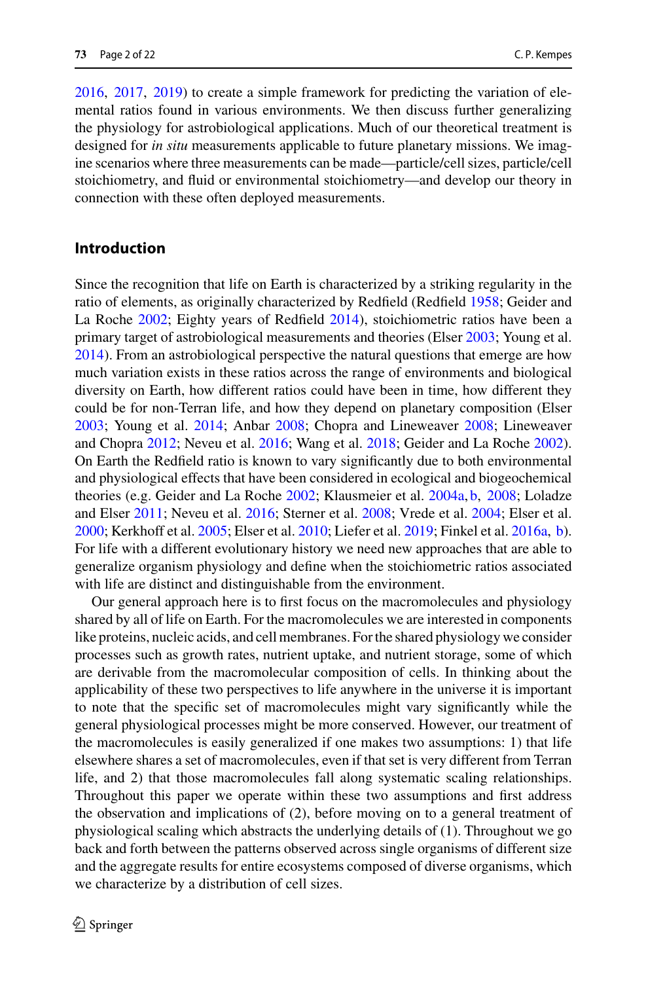[2016,](#page-20-2) [2017](#page-20-3), [2019\)](#page-20-4) to create a simple framework for predicting the variation of elemental ratios found in various environments. We then discuss further generalizing the physiology for astrobiological applications. Much of our theoretical treatment is designed for *in situ* measurements applicable to future planetary missions. We imagine scenarios where three measurements can be made—particle/cell sizes, particle/cell stoichiometry, and fluid or environmental stoichiometry—and develop our theory in connection with these often deployed measurements.

## **Introduction**

Since the recognition that life on Earth is characterized by a striking regularity in the ratio of elements, as originally characterized by Redfield (Redfiel[d](#page-21-0) [1958;](#page-21-0) Geider and La Roch[e](#page-19-0) [2002;](#page-19-0) Eighty years of Redfiel[d](#page-19-1) [2014\)](#page-19-1), stoichiometric ratios have been a primary target of astrobiological measurements and theories (Else[r](#page-19-2) [2003;](#page-19-2) Young et al[.](#page-21-1) [2014\)](#page-21-1). From an astrobiological perspective the natural questions that emerge are how much variation exists in these ratios across the range of environments and biological diversity on Earth, how different ratios could have been in time, how different they could be for non-Terran life, and how they depend on planetary composition (Else[r](#page-19-2) [2003;](#page-19-2) Young et al[.](#page-21-1) [2014;](#page-21-1) Anba[r](#page-19-3) [2008;](#page-19-3) Chopra and Lineweave[r](#page-19-4) [2008](#page-19-4); Lineweaver and Chopr[a](#page-20-5) [2012;](#page-20-5) Neveu et al[.](#page-20-6) [2016;](#page-20-6) Wang et al[.](#page-21-2) [2018;](#page-21-2) Geider and La Roch[e](#page-19-0) [2002](#page-19-0)). On Earth the Redfield ratio is known to vary significantly due to both environmental and physiological effects that have been considered in ecological and biogeochemical theories (e.g. Geider and La Roch[e](#page-19-0) [2002](#page-19-0); Klausmeier et al[.](#page-20-7) [2004a](#page-20-7), [b,](#page-20-8) [2008](#page-20-9); Loladze and Else[r](#page-20-10) [2011;](#page-20-10) Neveu et al[.](#page-20-6) [2016;](#page-20-6) Sterner et al[.](#page-21-3) [2008](#page-21-3); Vrede et al[.](#page-21-4) [2004;](#page-21-4) Elser et al[.](#page-19-5) [2000;](#page-19-5) Kerkhoff et al[.](#page-20-11) [2005](#page-20-11); Elser et al[.](#page-19-6) [2010](#page-19-6); Liefer et al[.](#page-20-12) [2019](#page-20-12); Finkel et al[.](#page-19-7) [2016a](#page-19-7), [b](#page-19-8)). For life with a different evolutionary history we need new approaches that are able to generalize organism physiology and define when the stoichiometric ratios associated with life are distinct and distinguishable from the environment.

Our general approach here is to first focus on the macromolecules and physiology shared by all of life on Earth. For the macromolecules we are interested in components like proteins, nucleic acids, and cell membranes. For the shared physiology we consider processes such as growth rates, nutrient uptake, and nutrient storage, some of which are derivable from the macromolecular composition of cells. In thinking about the applicability of these two perspectives to life anywhere in the universe it is important to note that the specific set of macromolecules might vary significantly while the general physiological processes might be more conserved. However, our treatment of the macromolecules is easily generalized if one makes two assumptions: 1) that life elsewhere shares a set of macromolecules, even if that set is very different from Terran life, and 2) that those macromolecules fall along systematic scaling relationships. Throughout this paper we operate within these two assumptions and first address the observation and implications of (2), before moving on to a general treatment of physiological scaling which abstracts the underlying details of (1). Throughout we go back and forth between the patterns observed across single organisms of different size and the aggregate results for entire ecosystems composed of diverse organisms, which we characterize by a distribution of cell sizes.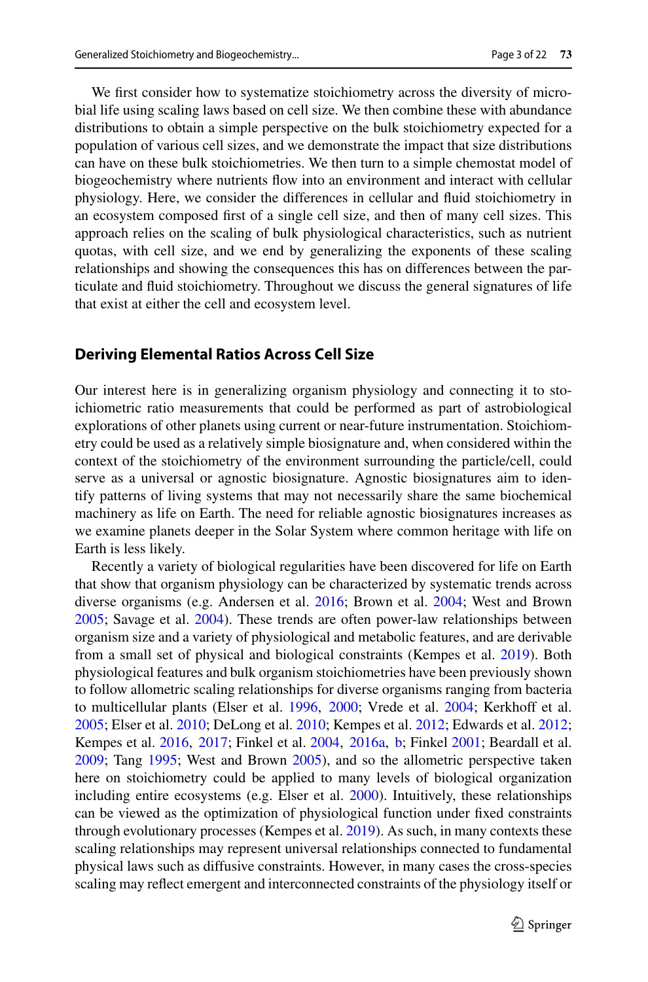We first consider how to systematize stoichiometry across the diversity of microbial life using scaling laws based on cell size. We then combine these with abundance distributions to obtain a simple perspective on the bulk stoichiometry expected for a population of various cell sizes, and we demonstrate the impact that size distributions can have on these bulk stoichiometries. We then turn to a simple chemostat model of biogeochemistry where nutrients flow into an environment and interact with cellular physiology. Here, we consider the differences in cellular and fluid stoichiometry in an ecosystem composed first of a single cell size, and then of many cell sizes. This approach relies on the scaling of bulk physiological characteristics, such as nutrient quotas, with cell size, and we end by generalizing the exponents of these scaling relationships and showing the consequences this has on differences between the particulate and fluid stoichiometry. Throughout we discuss the general signatures of life that exist at either the cell and ecosystem level.

## **Deriving Elemental Ratios Across Cell Size**

Our interest here is in generalizing organism physiology and connecting it to stoichiometric ratio measurements that could be performed as part of astrobiological explorations of other planets using current or near-future instrumentation. Stoichiometry could be used as a relatively simple biosignature and, when considered within the context of the stoichiometry of the environment surrounding the particle/cell, could serve as a universal or agnostic biosignature. Agnostic biosignatures aim to identify patterns of living systems that may not necessarily share the same biochemical machinery as life on Earth. The need for reliable agnostic biosignatures increases as we examine planets deeper in the Solar System where common heritage with life on Earth is less likely.

Recently a variety of biological regularities have been discovered for life on Earth that show that organism physiology can be characterized by systematic trends across diverse organisms (e.g. Andersen et al[.](#page-19-9) [2016](#page-19-9); Brown et al[.](#page-19-10) [2004;](#page-19-10) West and Brow[n](#page-21-5) [2005;](#page-21-5) Savage et al[.](#page-21-6) [2004\)](#page-21-6). These trends are often power-law relationships between organism size and a variety of physiological and metabolic features, and are derivable from a small set of physical and biological constraints (Kempes et al[.](#page-20-4) [2019](#page-20-4)). Both physiological features and bulk organism stoichiometries have been previously shown to follow allometric scaling relationships for diverse organisms ranging from bacteria to multicellular plants (Elser et al[.](#page-19-11) [1996,](#page-19-11) [2000;](#page-19-5) Vrede et al[.](#page-21-4) [2004](#page-21-4); Kerkhoff et al[.](#page-20-11) [2005;](#page-20-11) Elser et al[.](#page-19-6) [2010;](#page-19-6) DeLong et al[.](#page-19-12) [2010;](#page-19-12) Kempes et al[.](#page-20-1) [2012;](#page-20-1) Edwards et al[.](#page-19-13) [2012](#page-19-13); Kempes et al. [2016](#page-20-2), [2017;](#page-20-3) Finkel et al[.](#page-19-14) [2004](#page-19-14), [2016a](#page-19-7), [b;](#page-19-8) Finke[l](#page-19-15) [2001](#page-19-15); Beardall et al[.](#page-19-16) [2009;](#page-19-16) Tan[g](#page-21-7) [1995](#page-21-7); West and Brow[n](#page-21-5) [2005](#page-21-5)), and so the allometric perspective taken here on stoichiometry could be applied to many levels of biological organization including entire ecosystems (e.g. Elser et al[.](#page-19-5) [2000\)](#page-19-5). Intuitively, these relationships can be viewed as the optimization of physiological function under fixed constraints through evolutionary processes (Kempes et al[.](#page-20-4) [2019\)](#page-20-4). As such, in many contexts these scaling relationships may represent universal relationships connected to fundamental physical laws such as diffusive constraints. However, in many cases the cross-species scaling may reflect emergent and interconnected constraints of the physiology itself or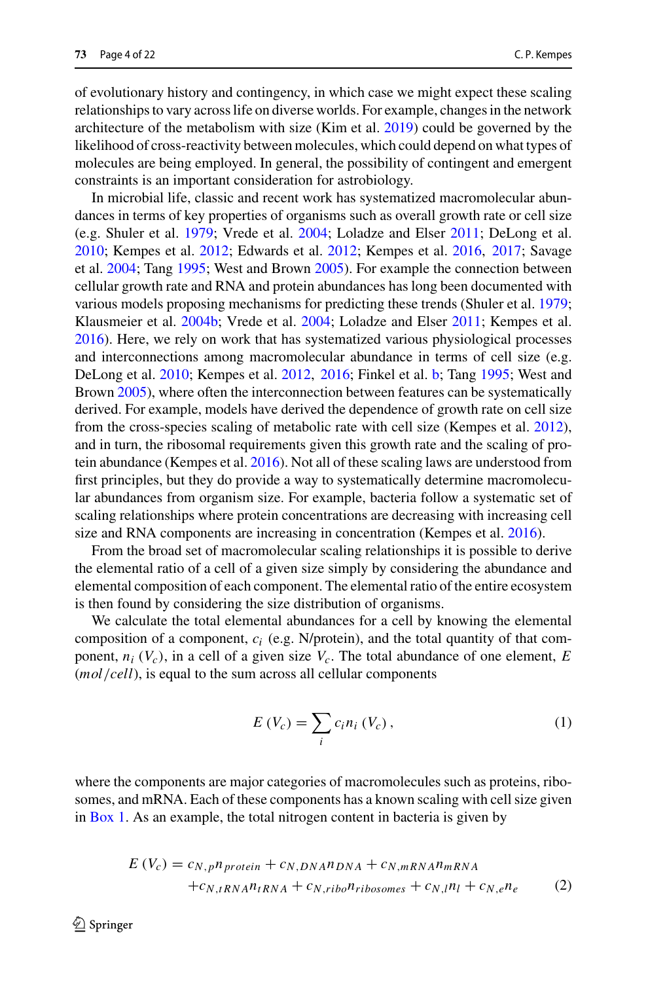of evolutionary history and contingency, in which case we might expect these scaling relationships to vary across life on diverse worlds. For example, changes in the network architecture of the metabolism with size (Kim et al[.](#page-20-13) [2019\)](#page-20-13) could be governed by the likelihood of cross-reactivity between molecules, which could depend on what types of molecules are being employed. In general, the possibility of contingent and emergent constraints is an important consideration for astrobiology.

In microbial life, classic and recent work has systematized macromolecular abundances in terms of key properties of organisms such as overall growth rate or cell size (e.g. Shuler et al[.](#page-21-8) [1979;](#page-21-8) Vrede et al[.](#page-21-4) [2004](#page-21-4); Loladze and Else[r](#page-20-10) [2011;](#page-20-10) DeLong et al[.](#page-19-12) [2010;](#page-19-12) Kempes et al[.](#page-20-1) [2012](#page-20-1); Edwards et al[.](#page-19-13) [2012](#page-19-13); Kempes et al[.](#page-20-2) [2016,](#page-20-2) [2017;](#page-20-3) Savage et al[.](#page-21-9) [2004;](#page-21-9) Tan[g](#page-21-7) [1995;](#page-21-7) West and Brow[n](#page-21-5) [2005](#page-21-5)). For example the connection between cellular growth rate and RNA and protein abundances has long been documented with various models proposing mechanisms for predicting these trends (Shuler et al[.](#page-21-8) [1979](#page-21-8); Klausmeier et al[.](#page-20-8) [2004b;](#page-20-8) Vrede et al[.](#page-21-4) [2004](#page-21-4); Loladze and Else[r](#page-20-10) [2011;](#page-20-10) Kempes et al[.](#page-20-2) [2016\)](#page-20-2). Here, we rely on work that has systematized various physiological processes and interconnections among macromolecular abundance in terms of cell size (e.g. DeLong et al[.](#page-19-12) [2010](#page-19-12); Kempes et al[.](#page-20-1) [2012,](#page-20-1) [2016](#page-20-2); Finkel et al[.](#page-19-8) [b](#page-19-8); Tan[g](#page-21-7) [1995;](#page-21-7) West and Brow[n](#page-21-5) [2005\)](#page-21-5), where often the interconnection between features can be systematically derived. For example, models have derived the dependence of growth rate on cell size from the cross-species scaling of metabolic rate with cell size (Kempes et al[.](#page-20-1) [2012](#page-20-1)), and in turn, the ribosomal requirements given this growth rate and the scaling of protein abundance (Kempes et al[.](#page-20-2) [2016\)](#page-20-2). Not all of these scaling laws are understood from first principles, but they do provide a way to systematically determine macromolecular abundances from organism size. For example, bacteria follow a systematic set of scaling relationships where protein concentrations are decreasing with increasing cell size and RNA components are increasing in concentration (Kempes et al[.](#page-20-2) [2016](#page-20-2)).

From the broad set of macromolecular scaling relationships it is possible to derive the elemental ratio of a cell of a given size simply by considering the abundance and elemental composition of each component. The elemental ratio of the entire ecosystem is then found by considering the size distribution of organisms.

We calculate the total elemental abundances for a cell by knowing the elemental composition of a component, *ci* (e.g. N/protein), and the total quantity of that component,  $n_i$  ( $V_c$ ), in a cell of a given size  $V_c$ . The total abundance of one element, *E* (*mol*/*cell*), is equal to the sum across all cellular components

$$
E(V_c) = \sum_i c_i n_i (V_c), \qquad (1)
$$

where the components are major categories of macromolecules such as proteins, ribosomes, and mRNA. Each of these components has a known scaling with cell size given in [Box 1.](#page-6-0) As an example, the total nitrogen content in bacteria is given by

$$
E(V_c) = c_{N,p} n_{protein} + c_{N,DNA} n_{DNA} + c_{N,mRNA} n_{mRNA} + c_{N,iRNA} n_{tRNA} + c_{N,iibo} n_{ribosomes} + c_{N,i} n_l + c_{N,e} n_e
$$
 (2)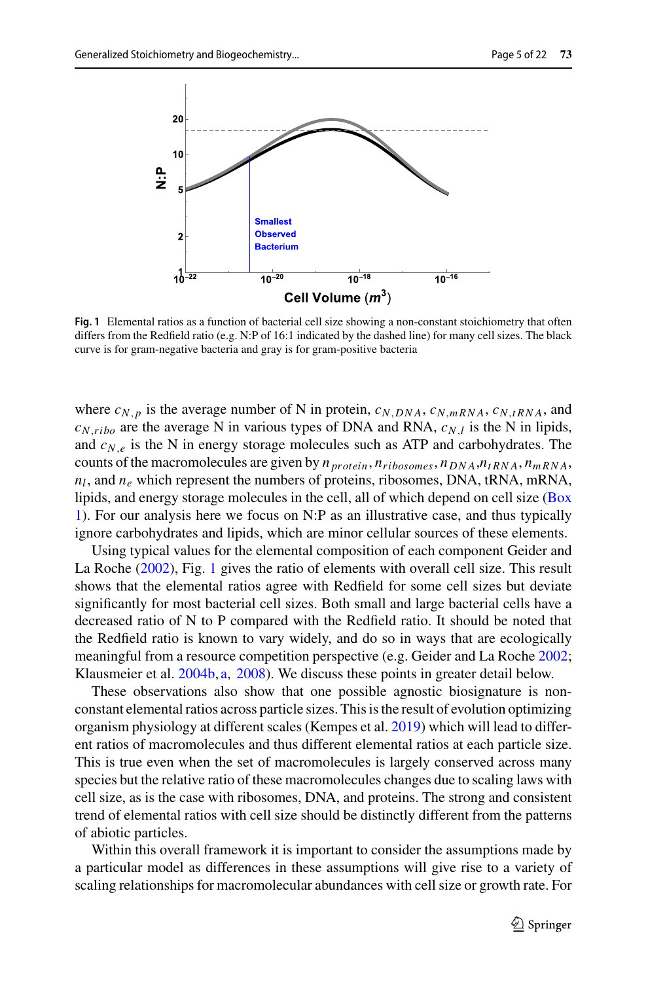

<span id="page-4-0"></span>**Fig. 1** Elemental ratios as a function of bacterial cell size showing a non-constant stoichiometry that often differs from the Redfield ratio (e.g. N:P of 16:1 indicated by the dashed line) for many cell sizes. The black curve is for gram-negative bacteria and gray is for gram-positive bacteria

where  $c_{N,p}$  is the average number of N in protein,  $c_{N,DNA}$ ,  $c_{N,mRNA}$ ,  $c_{N,tRNA}$ , and  $c_{N, ribo}$  are the average N in various types of DNA and RNA,  $c_{N,l}$  is the N in lipids, and  $c_{N,e}$  is the N in energy storage molecules such as ATP and carbohydrates. The counts of the macromolecules are given by *n protein*, *nribosomes*, *nDNA*,*ntRNA*, *nmRNA*, *nl*, and *ne* which represent the numbers of proteins, ribosomes, DNA, tRNA, mRNA, li[pids,](#page-6-0) [and](#page-6-0) [energy](#page-6-0) [storage](#page-6-0) [molecules](#page-6-0) [in](#page-6-0) [the](#page-6-0) [cell,](#page-6-0) [all](#page-6-0) [of](#page-6-0) [which](#page-6-0) [depend](#page-6-0) [on](#page-6-0) [cell](#page-6-0) [size](#page-6-0) [\(](#page-6-0)Box 1). For our analysis here we focus on N:P as an illustrative case, and thus typically ignore carbohydrates and lipids, which are minor cellular sources of these elements.

Using typical values for the elemental composition of each component Geider and La Roch[e](#page-19-0) [\(2002](#page-19-0)), Fig. [1](#page-4-0) gives the ratio of elements with overall cell size. This result shows that the elemental ratios agree with Redfield for some cell sizes but deviate significantly for most bacterial cell sizes. Both small and large bacterial cells have a decreased ratio of N to P compared with the Redfield ratio. It should be noted that the Redfield ratio is known to vary widely, and do so in ways that are ecologically meaningful from a resource competition perspective (e.g. Geider and La Roch[e](#page-19-0) [2002](#page-19-0); Klausmeier et al[.](#page-20-8) [2004b,](#page-20-8) [a](#page-20-7), [2008](#page-20-9)). We discuss these points in greater detail below.

These observations also show that one possible agnostic biosignature is nonconstant elemental ratios across particle sizes. This is the result of evolution optimizing organism physiology at different scales (Kempes et al[.](#page-20-4) [2019](#page-20-4)) which will lead to different ratios of macromolecules and thus different elemental ratios at each particle size. This is true even when the set of macromolecules is largely conserved across many species but the relative ratio of these macromolecules changes due to scaling laws with cell size, as is the case with ribosomes, DNA, and proteins. The strong and consistent trend of elemental ratios with cell size should be distinctly different from the patterns of abiotic particles.

Within this overall framework it is important to consider the assumptions made by a particular model as differences in these assumptions will give rise to a variety of scaling relationships for macromolecular abundances with cell size or growth rate. For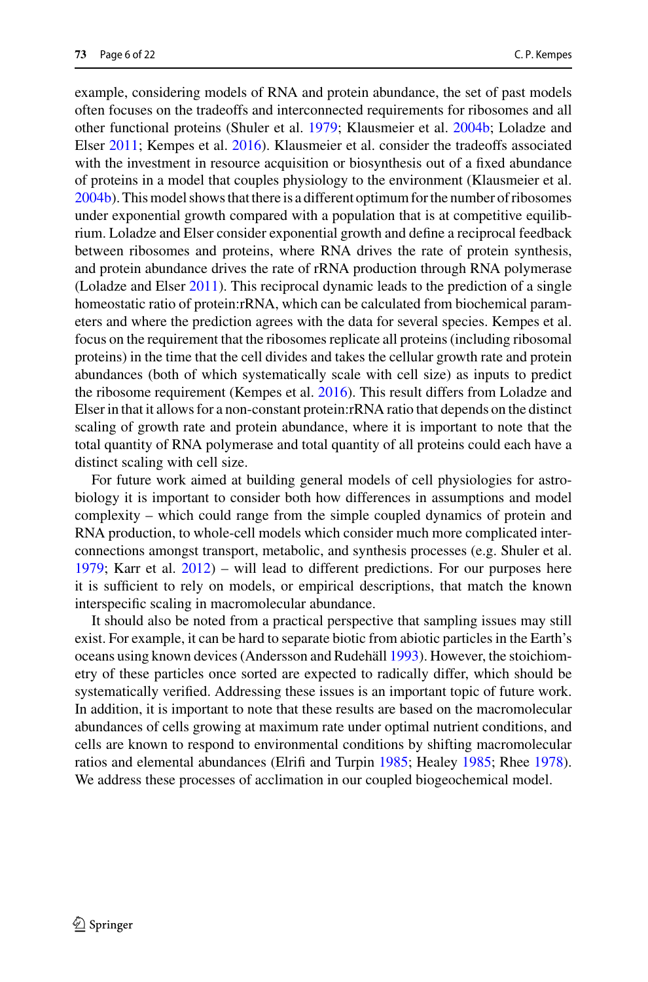example, considering models of RNA and protein abundance, the set of past models often focuses on the tradeoffs and interconnected requirements for ribosomes and all other functional proteins (Shuler et al[.](#page-21-8) [1979](#page-21-8); Klausmeier et al[.](#page-20-8) [2004b](#page-20-8); Loladze and Else[r](#page-20-10) [2011;](#page-20-10) Kempes et al[.](#page-20-2) [2016](#page-20-2)). Klausmeier et al. consider the tradeoffs associated with the investment in resource acquisition or biosynthesis out of a fixed abundance of proteins in a model that couples physiology to the environment (Klausmeier et al[.](#page-20-8) [2004b\)](#page-20-8). This model shows that there is a different optimum for the number of ribosomes under exponential growth compared with a population that is at competitive equilibrium. Loladze and Elser consider exponential growth and define a reciprocal feedback between ribosomes and proteins, where RNA drives the rate of protein synthesis, and protein abundance drives the rate of rRNA production through RNA polymerase (Loladze and Else[r](#page-20-10) [2011](#page-20-10)). This reciprocal dynamic leads to the prediction of a single homeostatic ratio of protein:rRNA, which can be calculated from biochemical parameters and where the prediction agrees with the data for several species. Kempes et al. focus on the requirement that the ribosomes replicate all proteins (including ribosomal proteins) in the time that the cell divides and takes the cellular growth rate and protein abundances (both of which systematically scale with cell size) as inputs to predict the ribosome requirement (Kempes et al[.](#page-20-2) [2016\)](#page-20-2). This result differs from Loladze and Elser in that it allows for a non-constant protein:rRNA ratio that depends on the distinct scaling of growth rate and protein abundance, where it is important to note that the total quantity of RNA polymerase and total quantity of all proteins could each have a distinct scaling with cell size.

For future work aimed at building general models of cell physiologies for astrobiology it is important to consider both how differences in assumptions and model complexity – which could range from the simple coupled dynamics of protein and RNA production, to whole-cell models which consider much more complicated interconnections amongst transport, metabolic, and synthesis processes (e.g. Shuler et al[.](#page-21-8) [1979;](#page-21-8) Karr et al[.](#page-20-14) [2012](#page-20-14)) – will lead to different predictions. For our purposes here it is sufficient to rely on models, or empirical descriptions, that match the known interspecific scaling in macromolecular abundance.

It should also be noted from a practical perspective that sampling issues may still exist. For example, it can be hard to separate biotic from abiotic particles in the Earth's oceans using known devices (Andersson and Rudehäl[l](#page-19-17) [1993](#page-19-17)). However, the stoichiometry of these particles once sorted are expected to radically differ, which should be systematically verified. Addressing these issues is an important topic of future work. In addition, it is important to note that these results are based on the macromolecular abundances of cells growing at maximum rate under optimal nutrient conditions, and cells are known to respond to environmental conditions by shifting macromolecular ratios and elemental abundances (Elrifi and Turpi[n](#page-19-18) [1985;](#page-19-18) Heale[y](#page-19-19) [1985](#page-19-19); Rhe[e](#page-21-10) [1978](#page-21-10)). We address these processes of acclimation in our coupled biogeochemical model.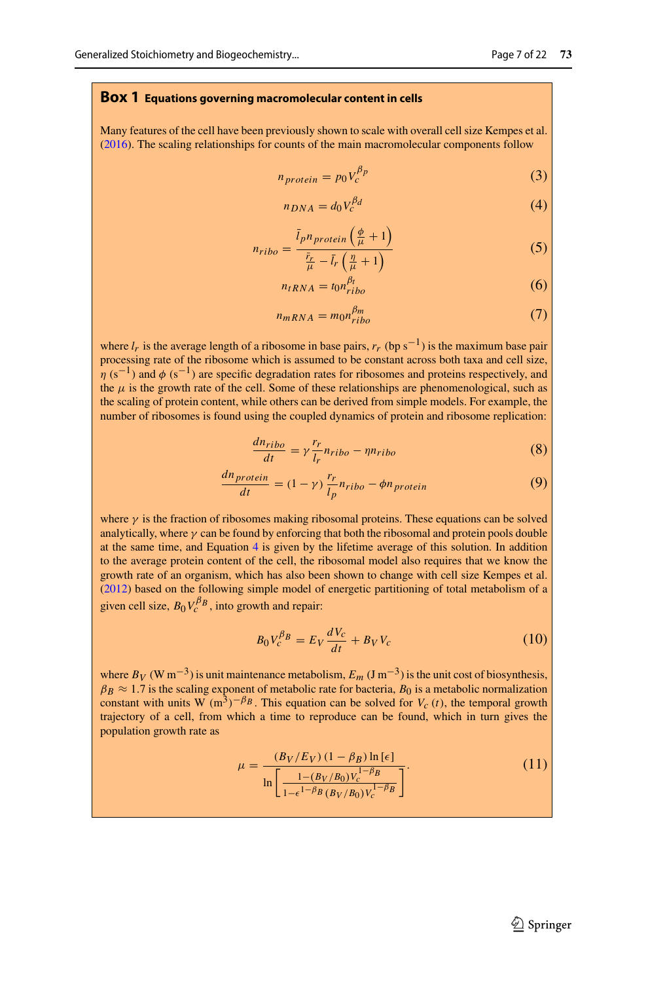#### <span id="page-6-0"></span>**Box 1 Equations governing macromolecular content in cells**

Many features of the cell have been previously shown to scale with overall cell size Kempes et al[.](#page-20-2) [\(2016\)](#page-20-2). The scaling relationships for counts of the main macromolecular components follow

$$
n_{protein} = p_0 V_c^{\beta p} \tag{3}
$$

<span id="page-6-1"></span>
$$
n_{DNA} = d_0 V_c^{\beta d} \tag{4}
$$

$$
n_{ribo} = \frac{\bar{l}_p n_{protein}\left(\frac{\phi}{\mu} + 1\right)}{\frac{\bar{r}_r}{\mu} - \bar{l}_r\left(\frac{\eta}{\mu} + 1\right)}\tag{5}
$$

$$
n_{tRNA} = t_0 n_{tibo}^{\beta_t}
$$
 (6)

$$
n_{mRNA} = m_0 n_{ribo}^{\beta m} \tag{7}
$$

where  $l_r$  is the average length of a ribosome in base pairs,  $r_r$  (bp s<sup>-1</sup>) is the maximum base pair processing rate of the ribosome which is assumed to be constant across both taxa and cell size,  $n(s^{-1})$  and φ (s<sup>-1</sup>) are specific degradation rates for ribosomes and proteins respectively, and the  $\mu$  is the growth rate of the cell. Some of these relationships are phenomenological, such as the scaling of protein content, while others can be derived from simple models. For example, the number of ribosomes is found using the coupled dynamics of protein and ribosome replication:

$$
\frac{dn_{ribo}}{dt} = \gamma \frac{r_r}{l_r} n_{ribo} - \eta n_{ribo} \tag{8}
$$

$$
\frac{dn_{protein}}{dt} = (1 - \gamma) \frac{r_r}{l_p} n_{ribo} - \phi n_{protein}
$$
\n(9)

where  $\gamma$  is the fraction of ribosomes making ribosomal proteins. These equations can be solved analytically, where  $\gamma$  can be found by enforcing that both the ribosomal and protein pools double at the same time, and Equation [4](#page-6-1) is given by the lifetime average of this solution. In addition to the average protein content of the cell, the ribosomal model also requires that we know the growth rate of an organism, which has also been shown to change with cell size Kempes et al[.](#page-20-1) [\(2012\)](#page-20-1) based on the following simple model of energetic partitioning of total metabolism of a given cell size,  $B_0 V_c^{\beta} B$ , into growth and repair:

$$
B_0 V_c^{\beta} = E_V \frac{dV_c}{dt} + B_V V_c \tag{10}
$$

where  $B_V$  (W m<sup>-3</sup>) is unit maintenance metabolism,  $E_m$  (J m<sup>-3</sup>) is the unit cost of biosynthesis,  $\beta_B \approx 1.7$  is the scaling exponent of metabolic rate for bacteria,  $B_0$  is a metabolic normalization constant with units W  $(m^3)^{-\beta_B}$ . This equation can be solved for  $V_c(t)$ , the temporal growth trajectory of a cell, from which a time to reproduce can be found, which in turn gives the population growth rate as

$$
\mu = \frac{(B_V/E_V)(1 - \beta_B) \ln[\epsilon]}{\ln \left[ \frac{1 - (B_V/B_0)V_c^{1 - \beta_B}}{1 - \epsilon^{1 - \beta_B} (B_V/B_0)V_c^{1 - \beta_B}} \right]}.
$$
(11)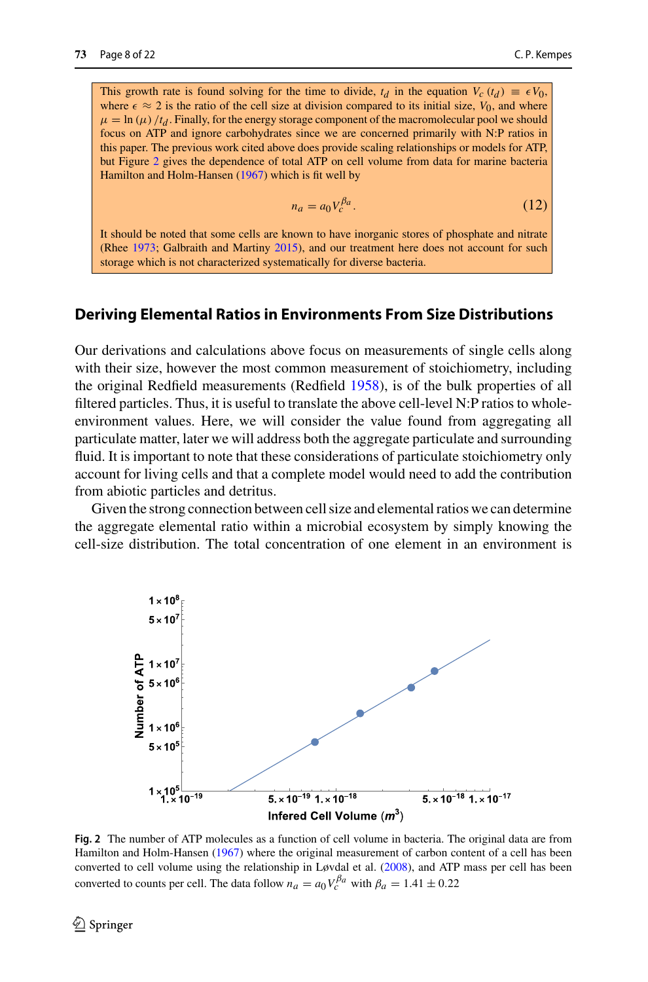This growth rate is found solving for the time to divide,  $t_d$  in the equation  $V_c(t_d) \equiv \epsilon V_0$ , where  $\epsilon \approx 2$  is the ratio of the cell size at division compared to its initial size,  $V_0$ , and where  $\mu = \ln(\mu)/t_d$ . Finally, for the energy storage component of the macromolecular pool we should focus on ATP and ignore carbohydrates since we are concerned primarily with N:P ratios in this paper. The previous work cited above does provide scaling relationships or models for ATP, but Figure [2](#page-7-0) gives the dependence of total ATP on cell volume from data for marine bacteria Hamilton and Holm-Hanse[n](#page-19-20) [\(1967\)](#page-19-20) which is fit well by

$$
n_a = a_0 V_c^{\beta a}.\tag{12}
$$

It should be noted that some cells are known to have inorganic stores of phosphate and nitrate (Rhe[e](#page-21-11) [1973;](#page-21-11) Galbraith and Martin[y](#page-19-21) [2015](#page-19-21)), and our treatment here does not account for such storage which is not characterized systematically for diverse bacteria.

## **Deriving Elemental Ratios in Environments From Size Distributions**

Our derivations and calculations above focus on measurements of single cells along with their size, however the most common measurement of stoichiometry, including the original Redfield measurements (Redfiel[d](#page-21-0) [1958](#page-21-0)), is of the bulk properties of all filtered particles. Thus, it is useful to translate the above cell-level N:P ratios to wholeenvironment values. Here, we will consider the value found from aggregating all particulate matter, later we will address both the aggregate particulate and surrounding fluid. It is important to note that these considerations of particulate stoichiometry only account for living cells and that a complete model would need to add the contribution from abiotic particles and detritus.

Given the strong connection between cell size and elemental ratios we can determine the aggregate elemental ratio within a microbial ecosystem by simply knowing the cell-size distribution. The total concentration of one element in an environment is



<span id="page-7-0"></span>**Fig. 2** The number of ATP molecules as a function of cell volume in bacteria. The original data are from Hamilton and Holm-Hanse[n](#page-19-20) [\(1967](#page-19-20)) where the original measurement of carbon content of a cell has been converted to cell volume using the relationship in Løvdal et al[.](#page-20-15) [\(2008\)](#page-20-15), and ATP mass per cell has been converted to counts per cell. The data follow  $n_a = a_0 V_c^{\beta a}$  with  $\beta_a = 1.41 \pm 0.22$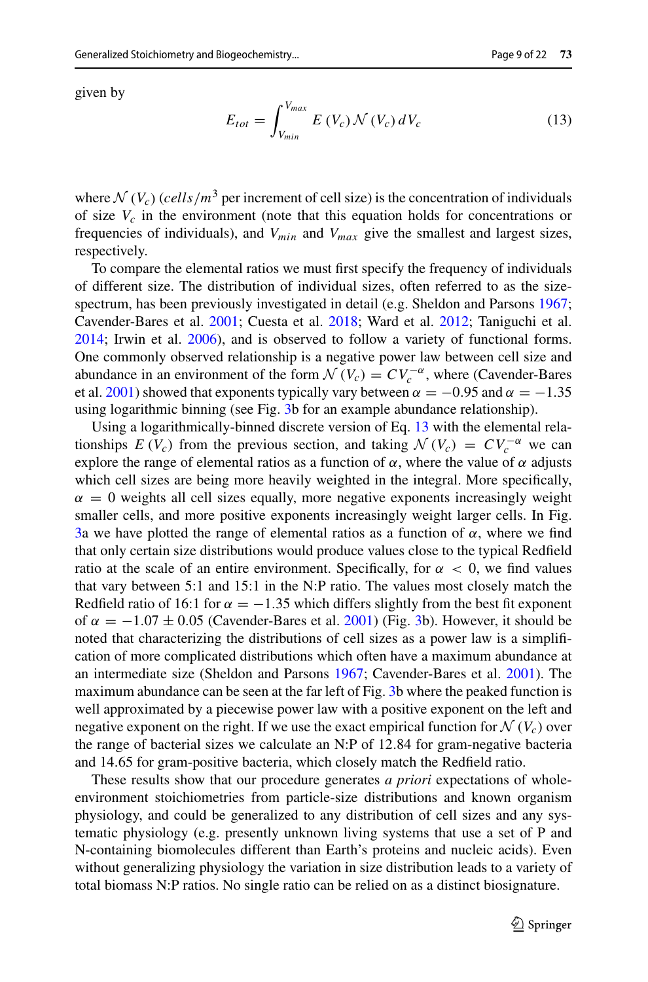given by

<span id="page-8-0"></span>
$$
E_{tot} = \int_{V_{min}}^{V_{max}} E(V_c) \, \mathcal{N}(V_c) \, dV_c \tag{13}
$$

where  $\mathcal{N}(V_c)$  (*cells*/ $m^3$  per increment of cell size) is the concentration of individuals of size  $V_c$  in the environment (note that this equation holds for concentrations or frequencies of individuals), and *Vmin* and *Vmax* give the smallest and largest sizes, respectively.

To compare the elemental ratios we must first specify the frequency of individuals of different size. The distribution of individual sizes, often referred to as the sizespectrum, has been previously investigated in detail (e.g. Sheldon and Parson[s](#page-21-12) [1967](#page-21-12); Cavender-Bares et al[.](#page-19-22) [2001;](#page-19-22) Cuesta et al[.](#page-19-23) [2018;](#page-19-23) Ward et al[.](#page-21-13) [2012](#page-21-13); Taniguchi et al[.](#page-21-14) [2014;](#page-21-14) Irwin et al[.](#page-20-16) [2006](#page-20-16)), and is observed to follow a variety of functional forms. One commonly observed relationship is a negative power law between cell size and abundance in an environment of the form  $\mathcal{N}(V_c) = CV_c^{-\alpha}$ , where (Cavender-Bares et al[.](#page-19-22) [2001\)](#page-19-22) showed that exponents typically vary between  $\alpha = -0.95$  and  $\alpha = -1.35$ using logarithmic binning (see Fig. [3b](#page-9-0) for an example abundance relationship).

Using a logarithmically-binned discrete version of Eq. [13](#page-8-0) with the elemental relationships  $E(V_c)$  from the previous section, and taking  $\mathcal{N}(V_c) = CV_c^{-\alpha}$  we can explore the range of elemental ratios as a function of  $\alpha$ , where the value of  $\alpha$  adjusts which cell sizes are being more heavily weighted in the integral. More specifically,  $\alpha = 0$  weights all cell sizes equally, more negative exponents increasingly weight smaller cells, and more positive exponents increasingly weight larger cells. In Fig. [3a](#page-9-0) we have plotted the range of elemental ratios as a function of  $\alpha$ , where we find that only certain size distributions would produce values close to the typical Redfield ratio at the scale of an entire environment. Specifically, for  $\alpha < 0$ , we find values that vary between 5:1 and 15:1 in the N:P ratio. The values most closely match the Redfield ratio of 16:1 for  $\alpha = -1.35$  which differs slightly from the best fit exponent of  $\alpha = -1.07 \pm 0.05$  $\alpha = -1.07 \pm 0.05$  $\alpha = -1.07 \pm 0.05$  (Cavender-Bares et al. [2001](#page-19-22)) (Fig. [3b](#page-9-0)). However, it should be noted that characterizing the distributions of cell sizes as a power law is a simplification of more complicated distributions which often have a maximum abundance at an intermediate size (Sheldon and Parson[s](#page-21-12) [1967;](#page-21-12) Cavender-Bares et al[.](#page-19-22) [2001](#page-19-22)). The maximum abundance can be seen at the far left of Fig. [3b](#page-9-0) where the peaked function is well approximated by a piecewise power law with a positive exponent on the left and negative exponent on the right. If we use the exact empirical function for  $\mathcal{N}(V_c)$  over the range of bacterial sizes we calculate an N:P of 12.84 for gram-negative bacteria and 14.65 for gram-positive bacteria, which closely match the Redfield ratio.

These results show that our procedure generates *a priori* expectations of wholeenvironment stoichiometries from particle-size distributions and known organism physiology, and could be generalized to any distribution of cell sizes and any systematic physiology (e.g. presently unknown living systems that use a set of P and N-containing biomolecules different than Earth's proteins and nucleic acids). Even without generalizing physiology the variation in size distribution leads to a variety of total biomass N:P ratios. No single ratio can be relied on as a distinct biosignature.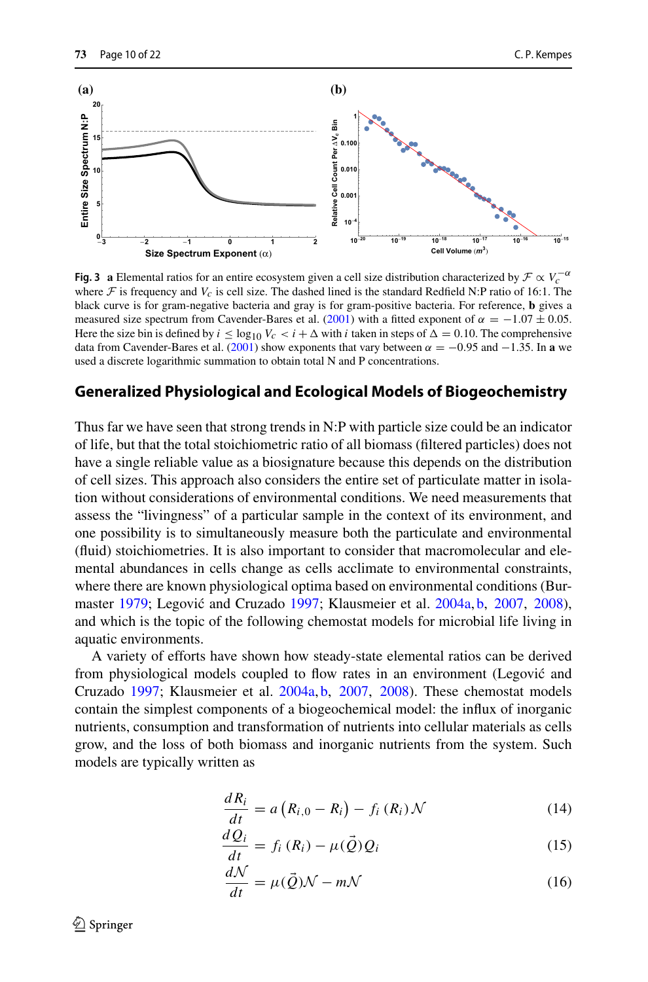

<span id="page-9-0"></span>**Fig. 3 a** Elemental ratios for an entire ecosystem given a cell size distribution characterized by  $\mathcal{F} \propto V_c^{-\alpha}$ where  $\mathcal F$  is frequency and  $V_c$  is cell size. The dashed lined is the standard Redfield N:P ratio of 16:1. The black curve is for gram-negative bacteria and gray is for gram-positive bacteria. For reference, **b** gives a measured size spectrum from Cavender-Bares et al[.](#page-19-22) [\(2001\)](#page-19-22) with a fitted exponent of  $\alpha = -1.07 \pm 0.05$ . Here the size bin is defined by  $i \leq \log_{10} V_c < i + \Delta$  with *i* taken in steps of  $\Delta = 0.10$ . The comprehensive data from Cavender-Bares et al[.](#page-19-22) [\(2001\)](#page-19-22) show exponents that vary between  $\alpha = -0.95$  and  $-1.35$ . In **a** we used a discrete logarithmic summation to obtain total N and P concentrations.

# **Generalized Physiological and Ecological Models of Biogeochemistry**

Thus far we have seen that strong trends in N:P with particle size could be an indicator of life, but that the total stoichiometric ratio of all biomass (filtered particles) does not have a single reliable value as a biosignature because this depends on the distribution of cell sizes. This approach also considers the entire set of particulate matter in isolation without considerations of environmental conditions. We need measurements that assess the "livingness" of a particular sample in the context of its environment, and one possibility is to simultaneously measure both the particulate and environmental (fluid) stoichiometries. It is also important to consider that macromolecular and elemental abundances in cells change as cells acclimate to environmental constraints, where there are known physiological optima based on environmental conditions (Burmaste[r](#page-19-24) [1979](#page-19-24); Leg[o](#page-20-17)vić and Cruzado [1997;](#page-20-17) Klausmeier et al[.](#page-20-7) [2004a,](#page-20-7) [b](#page-20-8), [2007](#page-20-18), [2008](#page-20-9)), and which is the topic of the following chemostat models for microbial life living in aquatic environments.

A variety of efforts have shown how steady-state elemental ratios can be derived from physiological models coupled to flow rates in an environment (Legović and Cruzad[o](#page-20-17) [1997](#page-20-17); Klausmeier et al. [2004a,](#page-20-7) [b](#page-20-8), [2007](#page-20-18), [2008\)](#page-20-9). These chemostat models contain the simplest components of a biogeochemical model: the influx of inorganic nutrients, consumption and transformation of nutrients into cellular materials as cells grow, and the loss of both biomass and inorganic nutrients from the system. Such models are typically written as

$$
\frac{dR_i}{dt} = a\left(R_{i,0} - R_i\right) - f_i\left(R_i\right)\mathcal{N} \tag{14}
$$

$$
\frac{dQ_i}{dt} = f_i(R_i) - \mu(\vec{Q})Q_i
$$
\n(15)

$$
\frac{dN}{dt} = \mu(\vec{Q})N - mN\tag{16}
$$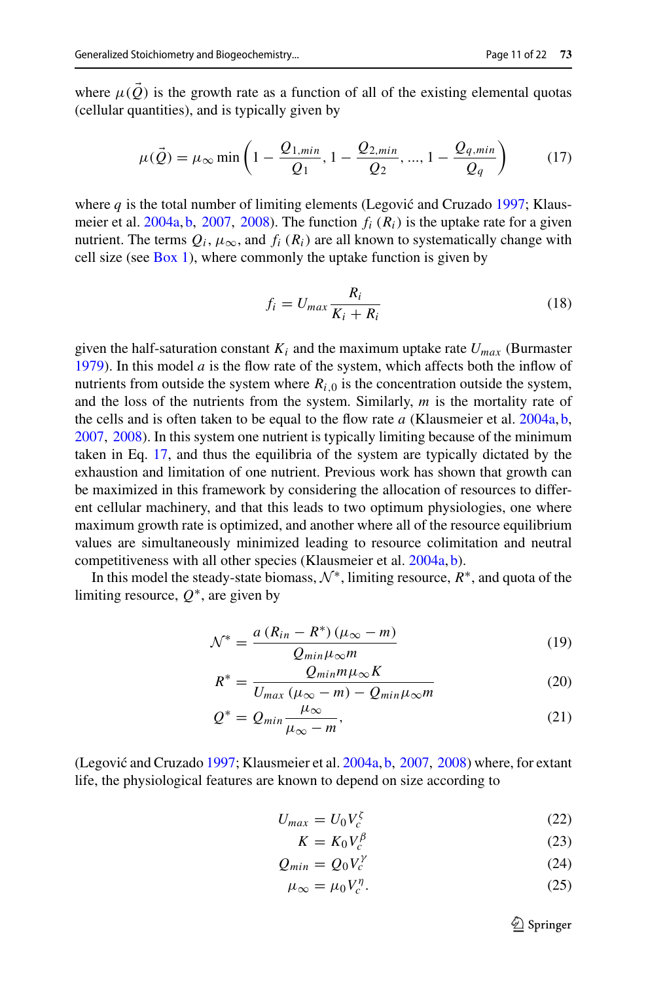where  $\mu(Q)$  is the growth rate as a function of all of the existing elemental quotas (cellular quantities), and is typically given by

<span id="page-10-0"></span>
$$
\mu(\vec{Q}) = \mu_{\infty} \min\left(1 - \frac{Q_{1,min}}{Q_1}, 1 - \frac{Q_{2,min}}{Q_2}, ..., 1 - \frac{Q_{q,min}}{Q_q}\right) \tag{17}
$$

where  $q$  is the t[o](#page-20-17)tal number of limiting elements (Legović and Cruzado [1997](#page-20-17); Klausmeier et al[.](#page-20-7) [2004a,](#page-20-7) [b,](#page-20-8) [2007,](#page-20-18) [2008](#page-20-9)). The function *fi* (*Ri*) is the uptake rate for a given nutrient. The terms  $Q_i$ ,  $\mu_{\infty}$ , and  $f_i(R_i)$  are all known to systematically change with cell size (see  $Box\ 1$ ), where commonly the uptake function is given by

$$
f_i = U_{max} \frac{R_i}{K_i + R_i}
$$
 (18)

given the half-satu[r](#page-19-24)ation constant  $K_i$  and the maximum uptake rate  $U_{max}$  (Burmaster [1979\)](#page-19-24). In this model *a* is the flow rate of the system, which affects both the inflow of nutrients from outside the system where  $R_{i,0}$  is the concentration outside the system, and the loss of the nutrients from the system. Similarly, *m* is the mortality rate of the cells and is often taken to be equal to the flow rate *a* (Klausmeier et al[.](#page-20-7) [2004a,](#page-20-7) [b,](#page-20-8) [2007,](#page-20-18) [2008\)](#page-20-9). In this system one nutrient is typically limiting because of the minimum taken in Eq. [17,](#page-10-0) and thus the equilibria of the system are typically dictated by the exhaustion and limitation of one nutrient. Previous work has shown that growth can be maximized in this framework by considering the allocation of resources to different cellular machinery, and that this leads to two optimum physiologies, one where maximum growth rate is optimized, and another where all of the resource equilibrium values are simultaneously minimized leading to resource colimitation and neutral competitiveness with all other species (Klausmeier et al[.](#page-20-7) [2004a,](#page-20-7) [b\)](#page-20-8).

In this model the steady-state biomass,  $\mathcal{N}^*$ , limiting resource,  $R^*$ , and quota of the limiting resource,  $Q^*$ , are given by

$$
\mathcal{N}^* = \frac{a (R_{in} - R^*) (\mu_\infty - m)}{Q_{min} \mu_\infty m}
$$
(19)

$$
R^* = \frac{Q_{min}m\mu_{\infty}K}{U_{max}(\mu_{\infty}-m) - Q_{min}\mu_{\infty}m}
$$
(20)

$$
Q^* = Q_{min} \frac{\mu_{\infty}}{\mu_{\infty} - m},
$$
\n(21)

(Leg[o](#page-20-17)vić and Cruzado [1997;](#page-20-17) Klausmeier et al[.](#page-20-7)  $2004a$ , [b,](#page-20-8)  $2007$ ,  $2008$ ) where, for extant life, the physiological features are known to depend on size according to

$$
U_{max} = U_0 V_c^{\zeta} \tag{22}
$$

$$
K = K_0 V_c^{\beta} \tag{23}
$$

$$
Q_{min} = Q_0 V_c^{\gamma} \tag{24}
$$

$$
\mu_{\infty} = \mu_0 V_c^{\eta}.
$$
\n(25)

 $\mathcal{D}$  Springer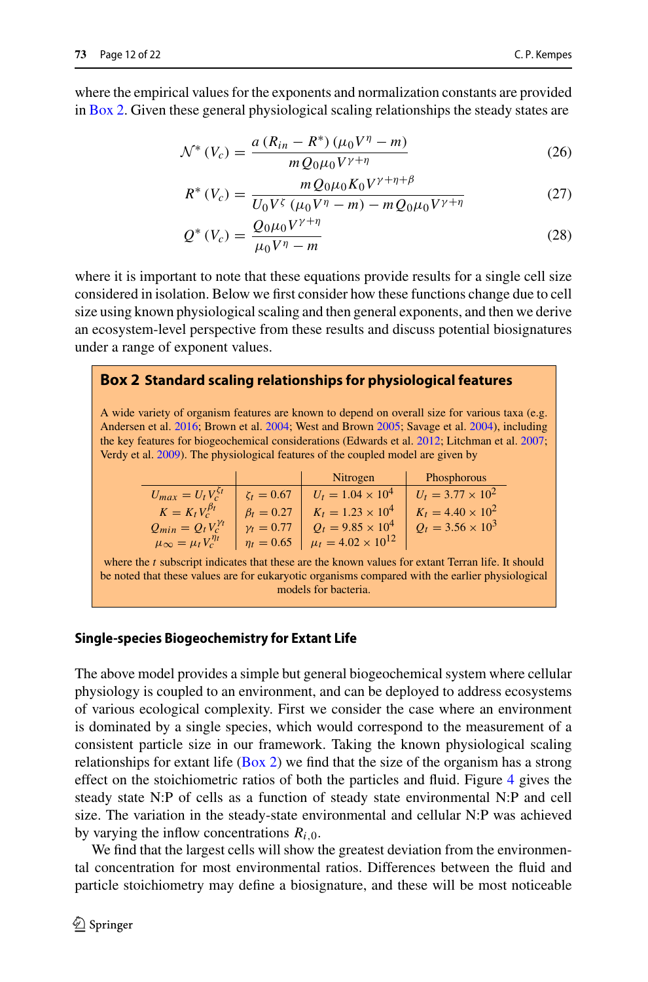where the empirical values for the exponents and normalization constants are provided in [Box 2.](#page-11-0) Given these general physiological scaling relationships the steady states are

$$
\mathcal{N}^*(V_c) = \frac{a (R_{in} - R^*) (\mu_0 V^{\eta} - m)}{m Q_0 \mu_0 V^{\gamma + \eta}}
$$
(26)

$$
R^*(V_c) = \frac{mQ_0\mu_0K_0V^{\gamma+\eta+\beta}}{U_0V^{\zeta}(\mu_0V^{\eta}-m) - mQ_0\mu_0V^{\gamma+\eta}}
$$
(27)

$$
Q^*(V_c) = \frac{Q_0 \mu_0 V^{\gamma + \eta}}{\mu_0 V^{\eta} - m}
$$
 (28)

where it is important to note that these equations provide results for a single cell size considered in isolation. Below we first consider how these functions change due to cell size using known physiological scaling and then general exponents, and then we derive an ecosystem-level perspective from these results and discuss potential biosignatures under a range of exponent values.

## <span id="page-11-0"></span>**Box 2 Standard scaling relationships for physiological features**

A wide variety of organism features are known to depend on overall size for various taxa (e.g. Andersen et al[.](#page-19-9) [2016](#page-19-9); Brown et al[.](#page-19-10) [2004](#page-19-10); West and Brow[n](#page-21-5) [2005;](#page-21-5) Savage et al[.](#page-21-6) [2004\)](#page-21-6), including the key features for biogeochemical considerations (Edwards et al[.](#page-19-13) [2012;](#page-19-13) Litchman et al[.](#page-20-19) [2007](#page-20-19); Verdy et al[.](#page-21-15) [2009](#page-21-15)). The physiological features of the coupled model are given by

|                                                                                         |                  | Nitrogen                                      | Phosphorous              |
|-----------------------------------------------------------------------------------------|------------------|-----------------------------------------------|--------------------------|
| $U_{max} = U_t V_c^{5t}$                                                                | $\zeta_t = 0.67$ | $U_t = 1.04 \times 10^4$                      | $U_t = 3.77 \times 10^2$ |
| $K = K_t V_c^{\beta_t}$                                                                 | $\beta_t = 0.27$ | $K_t = 1.23 \times 10^4$                      | $K_t = 4.40 \times 10^2$ |
| $Q_{min} = Q_t V_c^{\gamma_t}$                                                          | $v_t = 0.77$     | $Q_t = 9.85 \times 10^4$                      | $Q_t = 3.56 \times 10^3$ |
| $\mu_{\infty} = \mu_t V_c^{\eta_t}$                                                     |                  | $\eta_t = 0.65$ $\mu_t = 4.02 \times 10^{12}$ |                          |
| the 4 orthogoint indicates that these age the Imamu values for ortant Towers life. It a |                  |                                               |                          |

where the *t* subscript indicates that these are the known values for extant Terran life. It should be noted that these values are for eukaryotic organisms compared with the earlier physiological models for bacteria.

#### **Single-species Biogeochemistry for Extant Life**

The above model provides a simple but general biogeochemical system where cellular physiology is coupled to an environment, and can be deployed to address ecosystems of various ecological complexity. First we consider the case where an environment is dominated by a single species, which would correspond to the measurement of a consistent particle size in our framework. Taking the known physiological scaling relationships for extant life [\(Box 2\)](#page-11-0) we find that the size of the organism has a strong effect on the stoichiometric ratios of both the particles and fluid. Figure [4](#page-12-0) gives the steady state N:P of cells as a function of steady state environmental N:P and cell size. The variation in the steady-state environmental and cellular N:P was achieved by varying the inflow concentrations  $R_{i,0}$ .

We find that the largest cells will show the greatest deviation from the environmental concentration for most environmental ratios. Differences between the fluid and particle stoichiometry may define a biosignature, and these will be most noticeable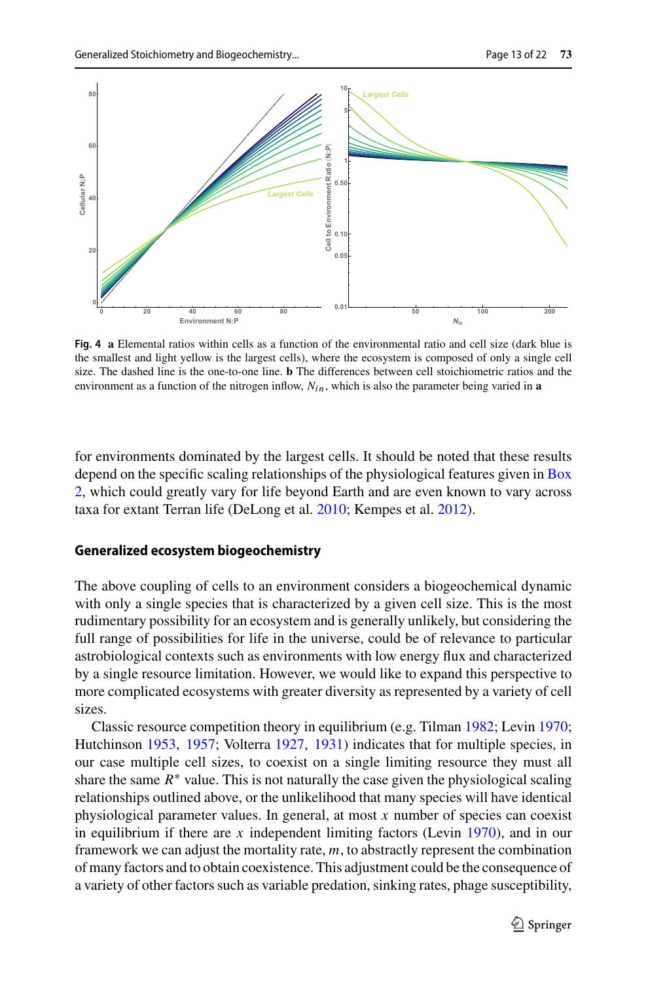

<span id="page-12-0"></span>**Fig. 4 a** Elemental ratios within cells as a function of the environmental ratio and cell size (dark blue is the smallest and light yellow is the largest cells), where the ecosystem is composed of only a single cell size. The dashed line is the one-to-one line. **b** The differences between cell stoichiometric ratios and the environment as a function of the nitrogen inflow,  $N_{in}$ , which is also the parameter being varied in **a** 

for environments dominated by the largest cells. It should be noted that these results d[epend](#page-11-0) [on](#page-11-0) [the](#page-11-0) [specific](#page-11-0) [scaling](#page-11-0) [relationships](#page-11-0) [of](#page-11-0) [the](#page-11-0) [physiological](#page-11-0) [features](#page-11-0) [given](#page-11-0) [in](#page-11-0) Box 2, which could greatly vary for life beyond Earth and are even known to vary across taxa for extant Terran life (DeLong et al[.](#page-19-12) [2010;](#page-19-12) Kempes et al. [2012\)](#page-20-1).

#### **Generalized ecosystem biogeochemistry**

The above coupling of cells to an environment considers a biogeochemical dynamic with only a single species that is characterized by a given cell size. This is the most rudimentary possibility for an ecosystem and is generally unlikely, but considering the full range of possibilities for life in the universe, could be of relevance to particular astrobiological contexts such as environments with low energy flux and characterized by a single resource limitation. However, we would like to expand this perspective to more complicated ecosystems with greater diversity as represented by a variety of cell sizes.

Classic resource competition theory in equilibrium (e.g. Tilma[n](#page-21-16) [1982](#page-21-16); Levi[n](#page-20-20) [1970](#page-20-20); Hutchinso[n](#page-20-21) [1953](#page-20-21), [1957](#page-20-22); Volterr[a](#page-21-17) [1927,](#page-21-17) [1931](#page-21-18)) indicates that for multiple species, in our case multiple cell sizes, to coexist on a single limiting resource they must all share the same  $R^*$  value. This is not naturally the case given the physiological scaling relationships outlined above, or the unlikelihood that many species will have identical physiological parameter values. In general, at most *x* number of species can coexist i[n](#page-20-20) equilibrium if there are  $x$  independent limiting factors (Levin [1970\)](#page-20-20), and in our framework we can adjust the mortality rate, *m*, to abstractly represent the combination of many factors and to obtain coexistence. This adjustment could be the consequence of a variety of other factors such as variable predation, sinking rates, phage susceptibility,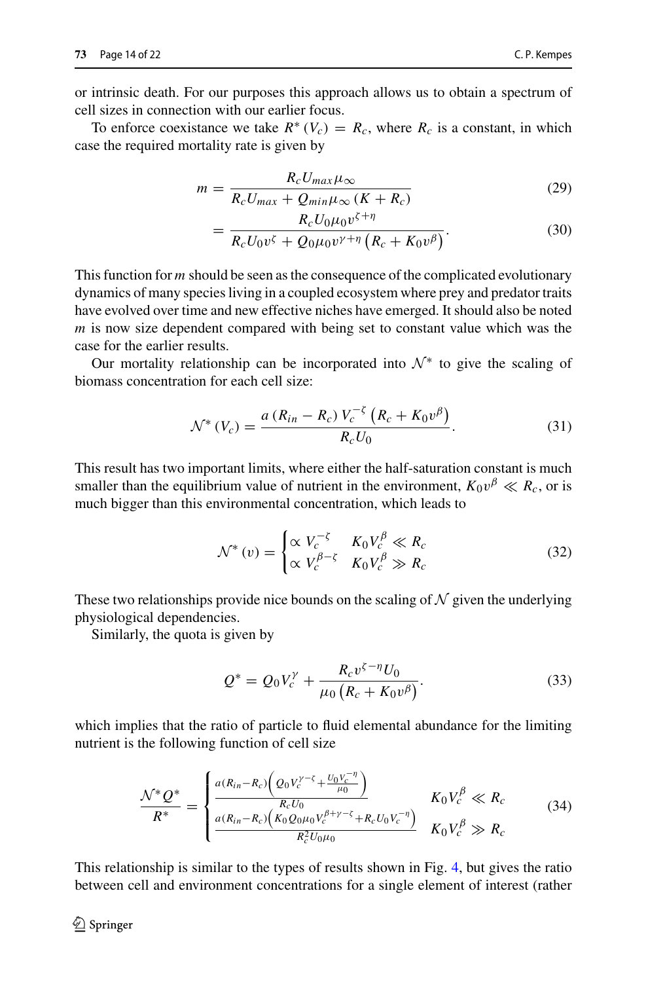or intrinsic death. For our purposes this approach allows us to obtain a spectrum of cell sizes in connection with our earlier focus.

To enforce coexistance we take  $R^*(V_c) = R_c$ , where  $R_c$  is a constant, in which case the required mortality rate is given by

$$
m = \frac{R_c U_{max} \mu_{\infty}}{R_c U_{max} + Q_{min} \mu_{\infty} (K + R_c)}
$$
(29)

$$
= \frac{R_c U_0 \mu_0 v^{\zeta + \eta}}{R_c U_0 v^{\zeta} + Q_0 \mu_0 v^{\gamma + \eta} \left( R_c + K_0 v^{\beta} \right)}.
$$
(30)

This function for *m* should be seen as the consequence of the complicated evolutionary dynamics of many species living in a coupled ecosystem where prey and predator traits have evolved over time and new effective niches have emerged. It should also be noted *m* is now size dependent compared with being set to constant value which was the case for the earlier results.

Our mortality relationship can be incorporated into  $\mathcal{N}^*$  to give the scaling of biomass concentration for each cell size:

$$
\mathcal{N}^*(V_c) = \frac{a (R_{in} - R_c) V_c^{-\zeta} (R_c + K_0 v^{\beta})}{R_c U_0}.
$$
 (31)

This result has two important limits, where either the half-saturation constant is much smaller than the equilibrium value of nutrient in the environment,  $K_0v^{\beta} \ll R_c$ , or is much bigger than this environmental concentration, which leads to

$$
\mathcal{N}^*(v) = \begin{cases} \propto V_c^{-\zeta} & K_0 V_c^{\beta} \ll R_c \\ \propto V_c^{\beta - \zeta} & K_0 V_c^{\beta} \gg R_c \end{cases}
$$
(32)

These two relationships provide nice bounds on the scaling of  $N$  given the underlying physiological dependencies.

Similarly, the quota is given by

$$
Q^* = Q_0 V_c^{\gamma} + \frac{R_c v^{\zeta - \eta} U_0}{\mu_0 (R_c + K_0 v^{\beta})}.
$$
\n(33)

which implies that the ratio of particle to fluid elemental abundance for the limiting nutrient is the following function of cell size

<span id="page-13-0"></span>
$$
\frac{\mathcal{N}^* Q^*}{R^*} = \begin{cases} \frac{a(R_{in} - R_c) \left( Q_0 V_c^{\gamma - \zeta} + \frac{U_0 V_c^{-\eta}}{\mu_0} \right)}{R_c U_0} & K_0 V_c^{\beta} \ll R_c\\ \frac{a(R_{in} - R_c) \left( K_0 Q_0 \mu_0 V_c^{\beta + \gamma - \zeta} + R_c U_0 V_c^{-\eta} \right)}{R_c^2 U_0 \mu_0} & K_0 V_c^{\beta} \gg R_c \end{cases} \tag{34}
$$

This relationship is similar to the types of results shown in Fig. [4,](#page-12-0) but gives the ratio between cell and environment concentrations for a single element of interest (rather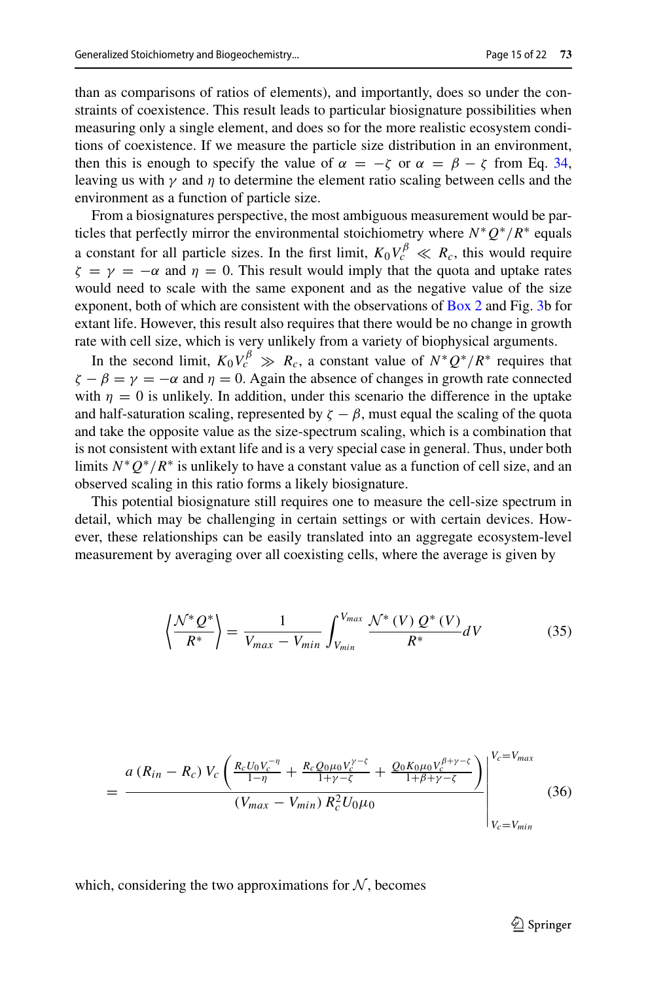than as comparisons of ratios of elements), and importantly, does so under the constraints of coexistence. This result leads to particular biosignature possibilities when measuring only a single element, and does so for the more realistic ecosystem conditions of coexistence. If we measure the particle size distribution in an environment, then this is enough to specify the value of  $\alpha = -\zeta$  or  $\alpha = \beta - \zeta$  from Eq. [34,](#page-13-0) leaving us with  $\gamma$  and  $\eta$  to determine the element ratio scaling between cells and the environment as a function of particle size.

From a biosignatures perspective, the most ambiguous measurement would be particles that perfectly mirror the environmental stoichiometry where  $N^*Q^*/R^*$  equals a constant for all particle sizes. In the first limit,  $K_0 V_c^{\beta} \ll R_c$ , this would require  $\zeta = \gamma = -\alpha$  and  $\eta = 0$ . This result would imply that the quota and uptake rates would need to scale with the same exponent and as the negative value of the size exponent, both of which are consistent with the observations of [Box 2](#page-11-0) and Fig. [3b](#page-9-0) for extant life. However, this result also requires that there would be no change in growth rate with cell size, which is very unlikely from a variety of biophysical arguments.

In the second limit,  $K_0 V_c^{\beta} \gg R_c$ , a constant value of  $N^*Q^*/R^*$  requires that  $\zeta - \beta = \gamma = -\alpha$  and  $\eta = 0$ . Again the absence of changes in growth rate connected with  $\eta = 0$  is unlikely. In addition, under this scenario the difference in the uptake and half-saturation scaling, represented by  $\zeta - \beta$ , must equal the scaling of the quota and take the opposite value as the size-spectrum scaling, which is a combination that is not consistent with extant life and is a very special case in general. Thus, under both limits  $N^*Q^*/R^*$  is unlikely to have a constant value as a function of cell size, and an observed scaling in this ratio forms a likely biosignature.

This potential biosignature still requires one to measure the cell-size spectrum in detail, which may be challenging in certain settings or with certain devices. However, these relationships can be easily translated into an aggregate ecosystem-level measurement by averaging over all coexisting cells, where the average is given by

$$
\left\langle \frac{\mathcal{N}^* \mathcal{Q}^*}{R^*} \right\rangle = \frac{1}{V_{max} - V_{min}} \int_{V_{min}}^{V_{max}} \frac{\mathcal{N}^* \left( V \right) \mathcal{Q}^* \left( V \right)}{R^*} dV \tag{35}
$$

$$
= \frac{a (R_{in} - R_c) V_c \left( \frac{R_c U_0 V_c^{-\eta}}{1 - \eta} + \frac{R_c Q_0 \mu_0 V_c^{\gamma - \zeta}}{1 + \gamma - \zeta} + \frac{Q_0 K_0 \mu_0 V_c^{\beta + \gamma - \zeta}}{1 + \beta + \gamma - \zeta} \right)}{(V_{max} - V_{min}) R_c^2 U_0 \mu_0}
$$
 (36)

which, considering the two approximations for  $N$ , becomes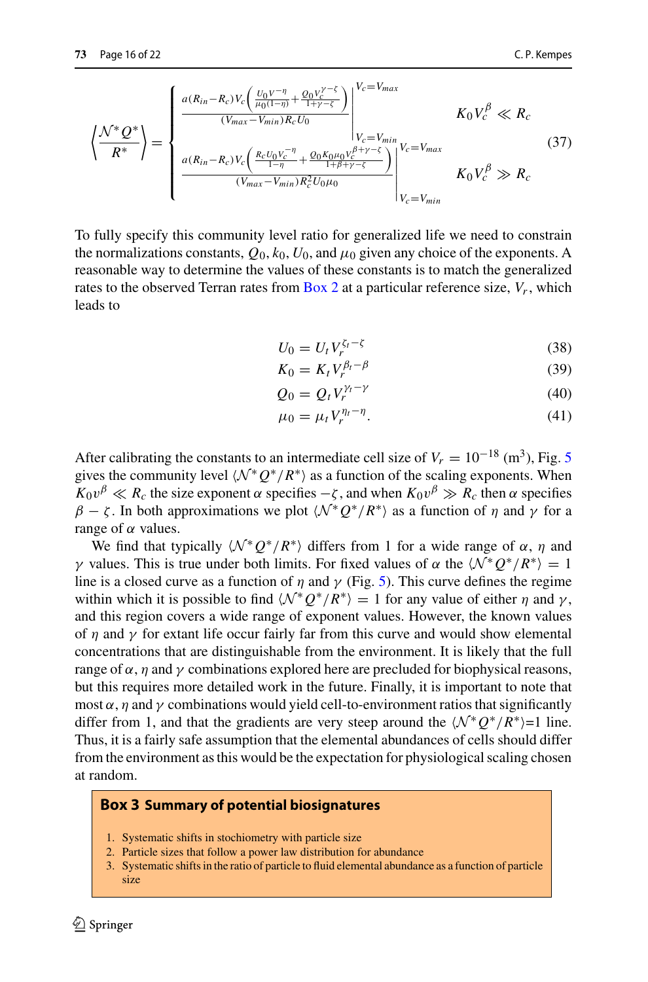$$
\left\langle \frac{\mathcal{N}^* \mathcal{Q}^*}{R^*} \right\rangle = \begin{cases} \frac{a(R_{in} - R_c) V_c \left( \frac{U_0 V^{-\eta}}{\mu_0 (1 - \eta)} + \frac{Q_0 V_c^{\gamma - \zeta}}{1 + \gamma - \zeta} \right)}{(V_{max} - V_{min}) R_c U_0} \Big|_{V_c = V_{min}}^{V_c = V_{max}} & K_0 V_c^{\beta} \ll R_c\\ \frac{a(R_{in} - R_c) V_c \left( \frac{R_c U_0 V_c^{-\eta}}{1 - \eta} + \frac{Q_0 K_0 \mu_0 V_c^{\beta + \gamma - \zeta}}{1 + \beta + \gamma - \zeta} \right)}{(V_{max} - V_{min}) R_c^2 U_0 \mu_0} \Big|_{V_c = V_{min}}^{V_c = V_{max}} & K_0 V_c^{\beta} \gg R_c \end{cases} (37)
$$

*Vc*=*Vmax*

To fully specify this community level ratio for generalized life we need to constrain the normalizations constants,  $Q_0$ ,  $k_0$ ,  $U_0$ , and  $\mu_0$  given any choice of the exponents. A reasonable way to determine the values of these constants is to match the generalized rates to the observed Terran rates from [Box 2](#page-11-0) at a particular reference size,  $V_r$ , which leads to

$$
U_0 = U_t V_r^{\zeta_t - \zeta} \tag{38}
$$

$$
K_0 = K_t V_r^{\beta_t - \beta} \tag{39}
$$

$$
Q_0 = Q_t V_r^{\gamma_t - \gamma} \tag{40}
$$

$$
\mu_0 = \mu_t V_r^{\eta_t - \eta}.\tag{41}
$$

After calibrating the constants to an intermediate cell size of  $V_r = 10^{-18}$  (m<sup>3</sup>), Fig. [5](#page-16-0) gives the community level  $\langle N^*Q^*/R^* \rangle$  as a function of the scaling exponents. When  $K_0 v^{\beta} \ll R_c$  the size exponent  $\alpha$  specifies  $-\zeta$ , and when  $K_0 v^{\beta} \gg R_c$  then  $\alpha$  specifies  $\beta - \zeta$ . In both approximations we plot  $\langle \mathcal{N}^*Q^*/R^* \rangle$  as a function of  $\eta$  and  $\gamma$  for a range of  $\alpha$  values.

We find that typically  $\langle \mathcal{N}^* Q^* / R^* \rangle$  differs from 1 for a wide range of  $\alpha$ ,  $\eta$  and γ values. This is true under both limits. For fixed values of α the  $\langle N^*Q^*/R^* \rangle = 1$ line is a closed curve as a function of  $\eta$  and  $\gamma$  (Fig. [5\)](#page-16-0). This curve defines the regime within which it is possible to find  $\langle \mathcal{N}^*Q^* / R^* \rangle = 1$  for any value of either  $\eta$  and  $\gamma$ , and this region covers a wide range of exponent values. However, the known values of  $\eta$  and  $\gamma$  for extant life occur fairly far from this curve and would show elemental concentrations that are distinguishable from the environment. It is likely that the full range of  $\alpha$ ,  $\eta$  and  $\gamma$  combinations explored here are precluded for biophysical reasons, but this requires more detailed work in the future. Finally, it is important to note that most  $\alpha$ ,  $\eta$  and  $\gamma$  combinations would yield cell-to-environment ratios that significantly differ from 1, and that the gradients are very steep around the  $\langle N^*Q^*/R^* \rangle = 1$  line. Thus, it is a fairly safe assumption that the elemental abundances of cells should differ from the environment as this would be the expectation for physiological scaling chosen at random.

## **Box 3 Summary of potential biosignatures**

- 1. Systematic shifts in stochiometry with particle size
- 2. Particle sizes that follow a power law distribution for abundance
- 3. Systematic shifts in the ratio of particle to fluid elemental abundance as a function of particle size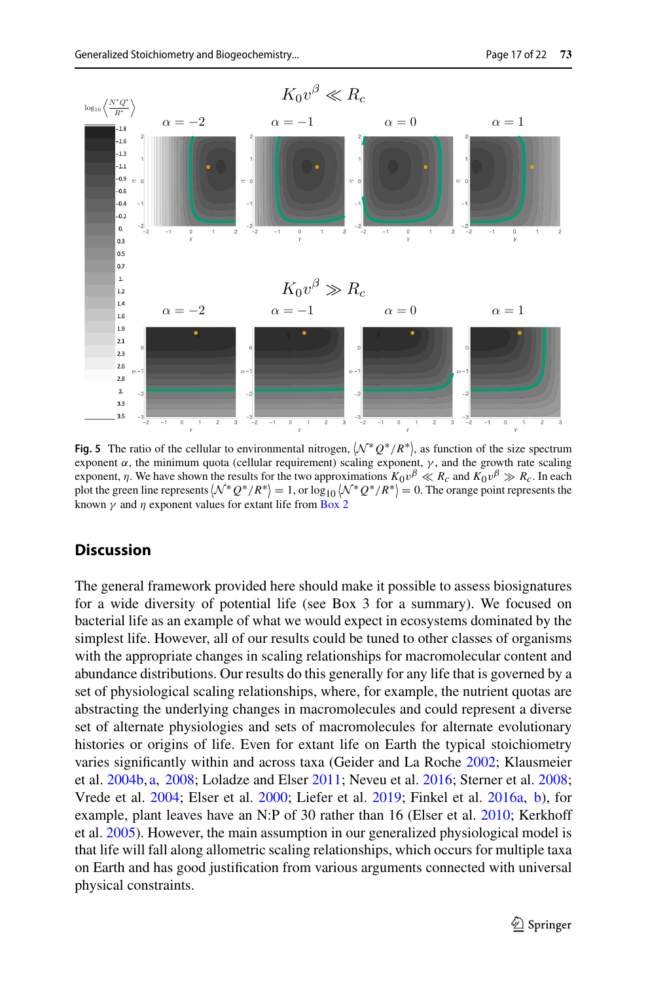

<span id="page-16-0"></span>**Fig. 5** The ratio of the cellular to environmental nitrogen,  $(N^*Q^*/R^*)$ , as function of the size spectrum exponent  $\alpha$ , the minimum quota (cellular requirement) scaling exponent,  $\gamma$ , and the growth rate scaling exponent,  $\eta$ . We have shown the results for the two approximations  $K_0v^{\beta} \ll R_c$  and  $K_0v^{\beta} \gg R_c$ . In each plot the green line represents  $\langle N^*Q^*/R^* \rangle = 1$ , or  $\log_{10} \langle N^*Q^*/R^* \rangle = 0$ . The orange point represents the known  $\gamma$  and  $\eta$  exponent values for extant life from [Box 2](#page-11-0)

## **Discussion**

The general framework provided here should make it possible to assess biosignatures for a wide diversity of potential life (see Box 3 for a summary). We focused on bacterial life as an example of what we would expect in ecosystems dominated by the simplest life. However, all of our results could be tuned to other classes of organisms with the appropriate changes in scaling relationships for macromolecular content and abundance distributions. Our results do this generally for any life that is governed by a set of physiological scaling relationships, where, for example, the nutrient quotas are abstracting the underlying changes in macromolecules and could represent a diverse set of alternate physiologies and sets of macromolecules for alternate evolutionary histories or origins of life. Even for extant life on Earth the typical stoichiometry varies significantly within and across taxa (Geider and La Roch[e](#page-19-0) [2002](#page-19-0); Klausmeier et al[.](#page-20-8) [2004b,](#page-20-8) [a,](#page-20-7) [2008;](#page-20-9) Loladze and Else[r](#page-20-10) [2011;](#page-20-10) Neveu et al[.](#page-20-6) [2016;](#page-20-6) Sterner et al[.](#page-21-3) [2008](#page-21-3); Vrede et al[.](#page-21-4) [2004;](#page-21-4) Elser et al[.](#page-19-5) [2000](#page-19-5); Liefer et al[.](#page-20-12) [2019](#page-20-12); Finkel et al[.](#page-19-7) [2016a](#page-19-7), [b](#page-19-8)), for example, plant leaves have an N:P of 30 rather than 16 (Elser et al[.](#page-19-6) [2010](#page-19-6); Kerkhoff et al[.](#page-20-11) [2005](#page-20-11)). However, the main assumption in our generalized physiological model is that life will fall along allometric scaling relationships, which occurs for multiple taxa on Earth and has good justification from various arguments connected with universal physical constraints.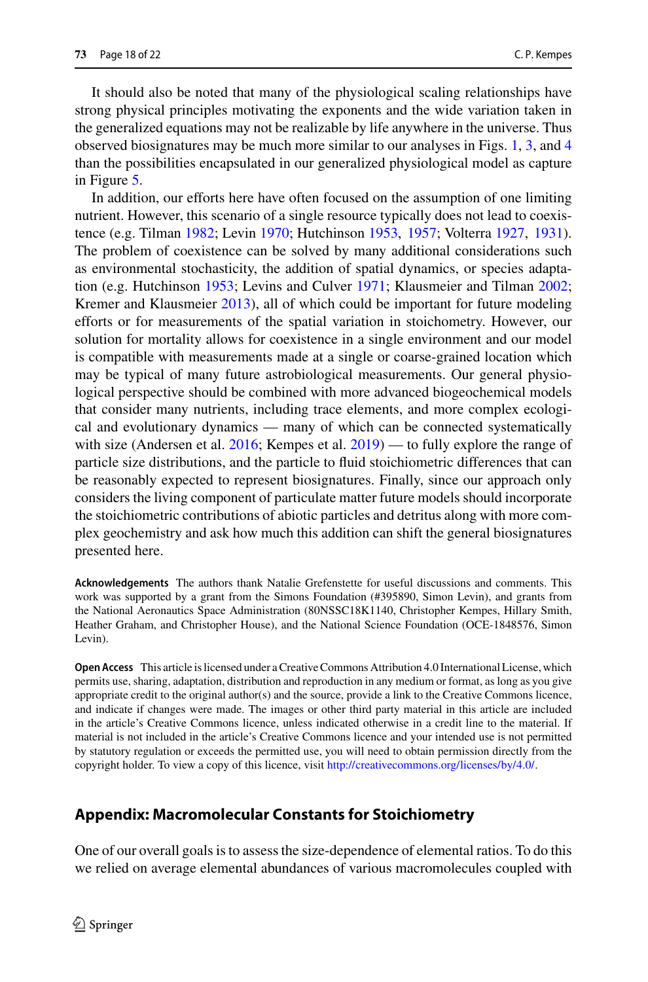It should also be noted that many of the physiological scaling relationships have strong physical principles motivating the exponents and the wide variation taken in the generalized equations may not be realizable by life anywhere in the universe. Thus observed biosignatures may be much more similar to our analyses in Figs. [1,](#page-4-0) [3,](#page-9-0) and [4](#page-12-0) than the possibilities encapsulated in our generalized physiological model as capture in Figure [5.](#page-16-0)

In addition, our efforts here have often focused on the assumption of one limiting nutrient. However, this scenario of a single resource typically does not lead to coexistence (e.g. Tilma[n](#page-21-16) [1982](#page-21-16); Levi[n](#page-20-20) [1970](#page-20-20); Hutchinso[n](#page-20-21) [1953](#page-20-21), [1957](#page-20-22); Volterr[a](#page-21-17) [1927,](#page-21-17) [1931](#page-21-18)). The problem of coexistence can be solved by many additional considerations such as environmental stochasticity, the addition of spatial dynamics, or species adaptation (e.g. Hutchinso[n](#page-20-21) [1953;](#page-20-21) Levins and Culve[r](#page-20-23) [1971;](#page-20-23) Klausmeier and Tilma[n](#page-20-24) [2002](#page-20-24); Kremer and Klausmeie[r](#page-20-25) [2013](#page-20-25)), all of which could be important for future modeling efforts or for measurements of the spatial variation in stoichometry. However, our solution for mortality allows for coexistence in a single environment and our model is compatible with measurements made at a single or coarse-grained location which may be typical of many future astrobiological measurements. Our general physiological perspective should be combined with more advanced biogeochemical models that consider many nutrients, including trace elements, and more complex ecological and evolutionary dynamics — many of which can be connected systematically with size (Andersen et al[.](#page-19-9) [2016](#page-19-9); Kempes et al[.](#page-20-4) [2019\)](#page-20-4) — to fully explore the range of particle size distributions, and the particle to fluid stoichiometric differences that can be reasonably expected to represent biosignatures. Finally, since our approach only considers the living component of particulate matter future models should incorporate the stoichiometric contributions of abiotic particles and detritus along with more complex geochemistry and ask how much this addition can shift the general biosignatures presented here.

**Acknowledgements** The authors thank Natalie Grefenstette for useful discussions and comments. This work was supported by a grant from the Simons Foundation (#395890, Simon Levin), and grants from the National Aeronautics Space Administration (80NSSC18K1140, Christopher Kempes, Hillary Smith, Heather Graham, and Christopher House), and the National Science Foundation (OCE-1848576, Simon Levin).

**Open Access** This article is licensed under a Creative Commons Attribution 4.0 International License, which permits use, sharing, adaptation, distribution and reproduction in any medium or format, as long as you give appropriate credit to the original author(s) and the source, provide a link to the Creative Commons licence, and indicate if changes were made. The images or other third party material in this article are included in the article's Creative Commons licence, unless indicated otherwise in a credit line to the material. If material is not included in the article's Creative Commons licence and your intended use is not permitted by statutory regulation or exceeds the permitted use, you will need to obtain permission directly from the copyright holder. To view a copy of this licence, visit [http://creativecommons.org/licenses/by/4.0/.](http://creativecommons.org/licenses/by/4.0/)

## **Appendix: Macromolecular Constants for Stoichiometry**

One of our overall goals is to assess the size-dependence of elemental ratios. To do this we relied on average elemental abundances of various macromolecules coupled with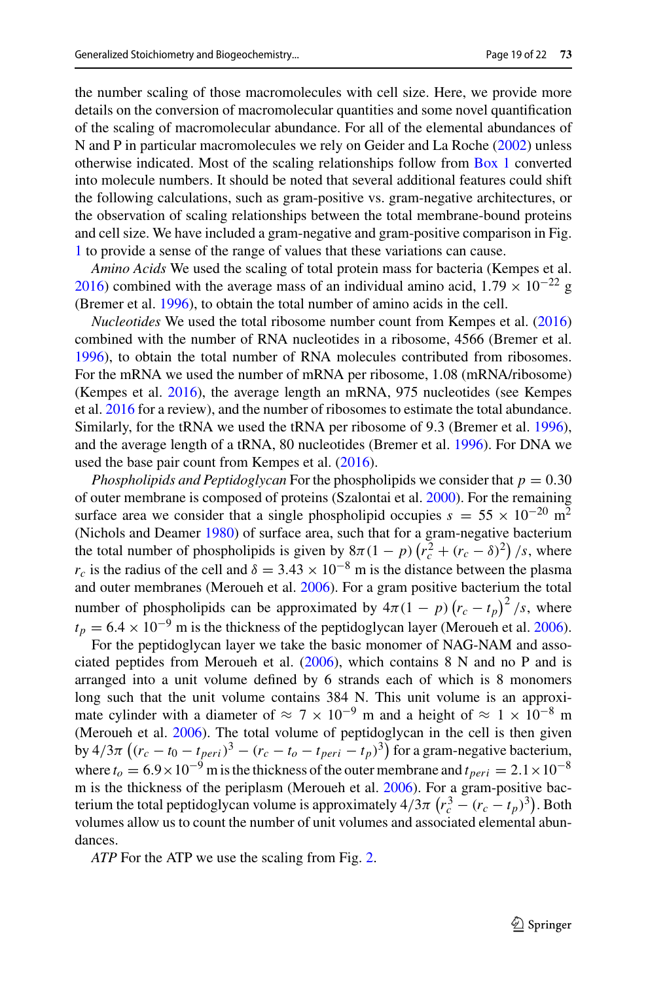the number scaling of those macromolecules with cell size. Here, we provide more details on the conversion of macromolecular quantities and some novel quantification of the scaling of macromolecular abundance. For all of the elemental abundances of N and P in particular macromolecules we rely on Geider and La Roch[e](#page-19-0) [\(2002](#page-19-0)) unless otherwise indicated. Most of the scaling relationships follow from [Box 1](#page-6-0) converted into molecule numbers. It should be noted that several additional features could shift the following calculations, such as gram-positive vs. gram-negative architectures, or the observation of scaling relationships between the total membrane-bound proteins and cell size. We have included a gram-negative and gram-positive comparison in Fig. [1](#page-4-0) to provide a sense of the range of values that these variations can cause.

*Amino Acids* We used the scaling of total protein mass for bacteria (Kempes et al[.](#page-20-2) [2016\)](#page-20-2) combined with the average mass of an individual amino acid,  $1.79 \times 10^{-22}$  g (Bremer et al[.](#page-19-25) [1996](#page-19-25)), to obtain the total number of amino acids in the cell.

*Nucleotides* We used the total ribosome number count from Kempes et al[.](#page-20-2) [\(2016\)](#page-20-2) combined with the number of RNA nucleotides in a ribosome, 4566 (Bremer et al[.](#page-19-25) [1996\)](#page-19-25), to obtain the total number of RNA molecules contributed from ribosomes. For the mRNA we used the number of mRNA per ribosome, 1.08 (mRNA/ribosome) (Kempes et al[.](#page-20-2) [2016\)](#page-20-2), the average length an mRNA, 975 nucleotides (see Kempes et al[.](#page-20-2) [2016](#page-20-2) for a review), and the number of ribosomes to estimate the total abundance. Similarly, for the tRNA we used the tRNA per ribosome of 9.3 (Bremer et al[.](#page-19-25) [1996](#page-19-25)), and the average length of a tRNA, 80 nucleotides (Bremer et al[.](#page-19-25) [1996\)](#page-19-25). For DNA we used the base pair count from Kempes et al[.](#page-20-2) [\(2016\)](#page-20-2).

*Phospholipids and Peptidoglycan* For the phospholipids we consider that  $p = 0.30$ of outer membrane is composed of proteins (Szalontai et al[.](#page-21-19) [2000](#page-21-19)). For the remaining surface area we consider that a single phospholipid occupies  $s = 55 \times 10^{-20}$  m<sup>2</sup> (Nichols and Deame[r](#page-21-20) [1980\)](#page-21-20) of surface area, such that for a gram-negative bacterium the total number of phospholipids is given by  $8\pi(1-p)\left(r_c^2 + (r_c - \delta)^2\right)/s$ , where  $r_c$  is the radius of the cell and  $\delta = 3.43 \times 10^{-8}$  m is the distance between the plasma and outer membranes (Meroueh et al[.](#page-20-26) [2006\)](#page-20-26). For a gram positive bacterium the total number of phospholipids can be approximated by  $4\pi(1-p)(r_c-t_p)^2/s$ , where  $t_p = 6.4 \times 10^{-9}$  $t_p = 6.4 \times 10^{-9}$  $t_p = 6.4 \times 10^{-9}$  m is the thickness of the peptidoglycan layer (Meroueh et al. [2006](#page-20-26)).

For the peptidoglycan layer we take the basic monomer of NAG-NAM and associated peptides from Meroueh et al[.](#page-20-26) [\(2006\)](#page-20-26), which contains 8 N and no P and is arranged into a unit volume defined by 6 strands each of which is 8 monomers long such that the unit volume contains 384 N. This unit volume is an approximate cylinder with a diameter of  $\approx 7 \times 10^{-9}$  m and a height of  $\approx 1 \times 10^{-8}$  m (Meroueh et al[.](#page-20-26) [2006](#page-20-26)). The total volume of peptidoglycan in the cell is then given by  $4/3\pi \left((r_c - t_0 - t_{peri})^3 - (r_c - t_o - t_{peri} - t_p)^3\right)$  for a gram-negative bacterium, where  $t_o = 6.9 \times 10^{-9}$  m is the thickness of the outer membrane and  $t_{peri} = 2.1 \times 10^{-8}$ m is the thickness of the periplasm (Meroueh et al[.](#page-20-26) [2006](#page-20-26)). For a gram-positive bacterium the total peptidoglycan volume is approximately  $4/3\pi (r_c^3 - (r_c - t_p)^3)$ . Both volumes allow us to count the number of unit volumes and associated elemental abundances.

*ATP* For the ATP we use the scaling from Fig. [2.](#page-7-0)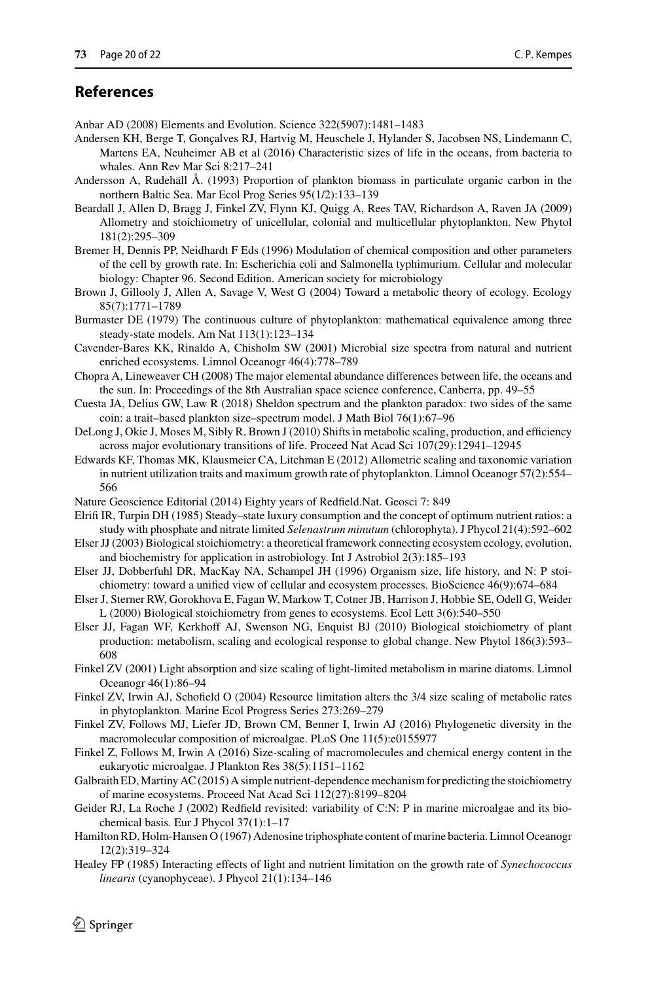# **References**

- <span id="page-19-3"></span>Anbar AD (2008) Elements and Evolution. Science 322(5907):1481–1483
- <span id="page-19-9"></span>Andersen KH, Berge T, Gonçalves RJ, Hartvig M, Heuschele J, Hylander S, Jacobsen NS, Lindemann C, Martens EA, Neuheimer AB et al (2016) Characteristic sizes of life in the oceans, from bacteria to whales. Ann Rev Mar Sci 8:217–241
- <span id="page-19-17"></span>Andersson A, Rudehäll Å. (1993) Proportion of plankton biomass in particulate organic carbon in the northern Baltic Sea. Mar Ecol Prog Series 95(1/2):133–139
- <span id="page-19-16"></span>Beardall J, Allen D, Bragg J, Finkel ZV, Flynn KJ, Quigg A, Rees TAV, Richardson A, Raven JA (2009) Allometry and stoichiometry of unicellular, colonial and multicellular phytoplankton. New Phytol 181(2):295–309
- <span id="page-19-25"></span>Bremer H, Dennis PP, Neidhardt F Eds (1996) Modulation of chemical composition and other parameters of the cell by growth rate. In: Escherichia coli and Salmonella typhimurium. Cellular and molecular biology: Chapter 96. Second Edition. American society for microbiology
- <span id="page-19-10"></span>Brown J, Gillooly J, Allen A, Savage V, West G (2004) Toward a metabolic theory of ecology. Ecology 85(7):1771–1789
- <span id="page-19-24"></span>Burmaster DE (1979) The continuous culture of phytoplankton: mathematical equivalence among three steady-state models. Am Nat 113(1):123–134
- <span id="page-19-22"></span>Cavender-Bares KK, Rinaldo A, Chisholm SW (2001) Microbial size spectra from natural and nutrient enriched ecosystems. Limnol Oceanogr 46(4):778–789
- <span id="page-19-4"></span>Chopra A, Lineweaver CH (2008) The major elemental abundance differences between life, the oceans and the sun. In: Proceedings of the 8th Australian space science conference, Canberra, pp. 49–55
- <span id="page-19-23"></span>Cuesta JA, Delius GW, Law R (2018) Sheldon spectrum and the plankton paradox: two sides of the same coin: a trait–based plankton size–spectrum model. J Math Biol 76(1):67–96
- <span id="page-19-12"></span>DeLong J, Okie J, Moses M, Sibly R, Brown J (2010) Shifts in metabolic scaling, production, and efficiency across major evolutionary transitions of life. Proceed Nat Acad Sci 107(29):12941–12945
- <span id="page-19-13"></span>Edwards KF, Thomas MK, Klausmeier CA, Litchman E (2012) Allometric scaling and taxonomic variation in nutrient utilization traits and maximum growth rate of phytoplankton. Limnol Oceanogr 57(2):554– 566
- <span id="page-19-1"></span>Nature Geoscience Editorial (2014) Eighty years of Redfield.Nat. Geosci 7: 849
- <span id="page-19-18"></span>Elrifi IR, Turpin DH (1985) Steady–state luxury consumption and the concept of optimum nutrient ratios: a study with phosphate and nitrate limited *Selenastrum minutum* (chlorophyta). J Phycol 21(4):592–602
- <span id="page-19-2"></span>Elser JJ (2003) Biological stoichiometry: a theoretical framework connecting ecosystem ecology, evolution, and biochemistry for application in astrobiology. Int J Astrobiol 2(3):185–193
- <span id="page-19-11"></span>Elser JJ, Dobberfuhl DR, MacKay NA, Schampel JH (1996) Organism size, life history, and N: P stoichiometry: toward a unified view of cellular and ecosystem processes. BioScience 46(9):674–684
- <span id="page-19-5"></span>Elser J, Sterner RW, Gorokhova E, Fagan W, Markow T, Cotner JB, Harrison J, Hobbie SE, Odell G, Weider L (2000) Biological stoichiometry from genes to ecosystems. Ecol Lett 3(6):540–550
- <span id="page-19-6"></span>Elser JJ, Fagan WF, Kerkhoff AJ, Swenson NG, Enquist BJ (2010) Biological stoichiometry of plant production: metabolism, scaling and ecological response to global change. New Phytol 186(3):593– 608
- <span id="page-19-15"></span>Finkel ZV (2001) Light absorption and size scaling of light-limited metabolism in marine diatoms. Limnol Oceanogr 46(1):86–94
- <span id="page-19-14"></span>Finkel ZV, Irwin AJ, Schofield O (2004) Resource limitation alters the 3/4 size scaling of metabolic rates in phytoplankton. Marine Ecol Progress Series 273:269–279
- <span id="page-19-7"></span>Finkel ZV, Follows MJ, Liefer JD, Brown CM, Benner I, Irwin AJ (2016) Phylogenetic diversity in the macromolecular composition of microalgae. PLoS One 11(5):e0155977
- <span id="page-19-8"></span>Finkel Z, Follows M, Irwin A (2016) Size-scaling of macromolecules and chemical energy content in the eukaryotic microalgae. J Plankton Res 38(5):1151–1162
- <span id="page-19-21"></span>Galbraith ED,Martiny AC (2015) A simple nutrient-dependence mechanism for predicting the stoichiometry of marine ecosystems. Proceed Nat Acad Sci 112(27):8199–8204
- <span id="page-19-0"></span>Geider RJ, La Roche J (2002) Redfield revisited: variability of C:N: P in marine microalgae and its biochemical basis. Eur J Phycol 37(1):1–17
- <span id="page-19-20"></span>Hamilton RD, Holm-Hansen O (1967) Adenosine triphosphate content of marine bacteria. Limnol Oceanogr 12(2):319–324
- <span id="page-19-19"></span>Healey FP (1985) Interacting effects of light and nutrient limitation on the growth rate of *Synechococcus linearis* (cyanophyceae). J Phycol 21(1):134–146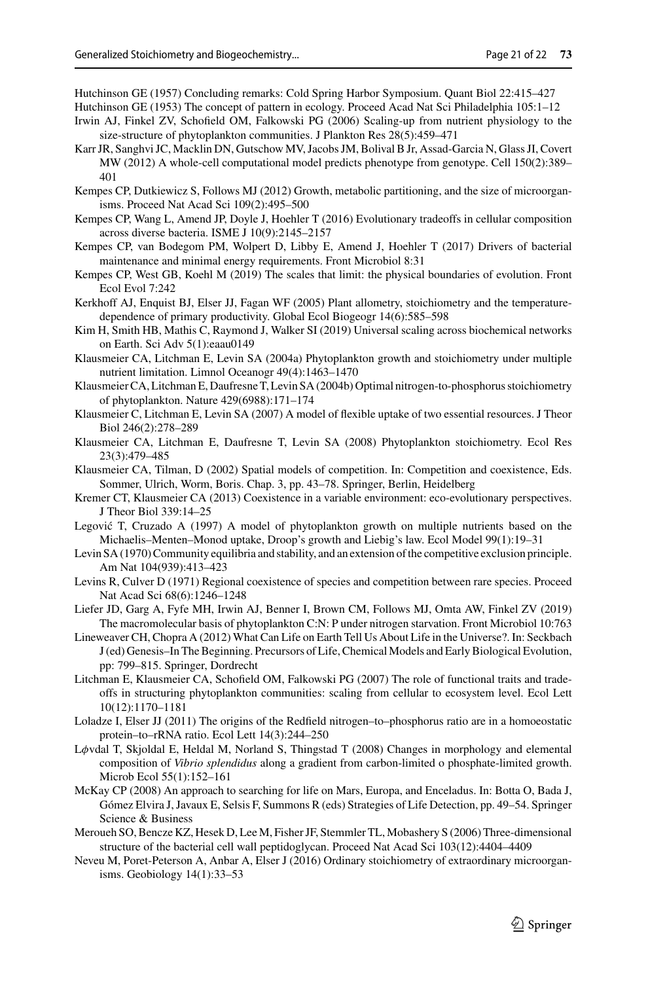<span id="page-20-22"></span>Hutchinson GE (1957) Concluding remarks: Cold Spring Harbor Symposium. Quant Biol 22:415–427

- <span id="page-20-21"></span>Hutchinson GE (1953) The concept of pattern in ecology. Proceed Acad Nat Sci Philadelphia 105:1–12
- <span id="page-20-16"></span>Irwin AJ, Finkel ZV, Schofield OM, Falkowski PG (2006) Scaling-up from nutrient physiology to the size-structure of phytoplankton communities. J Plankton Res 28(5):459–471
- <span id="page-20-14"></span>Karr JR, Sanghvi JC, Macklin DN, Gutschow MV, Jacobs JM, Bolival B Jr, Assad-Garcia N, Glass JI, Covert MW (2012) A whole-cell computational model predicts phenotype from genotype. Cell 150(2):389– 401
- <span id="page-20-1"></span>Kempes CP, Dutkiewicz S, Follows MJ (2012) Growth, metabolic partitioning, and the size of microorganisms. Proceed Nat Acad Sci 109(2):495–500
- <span id="page-20-2"></span>Kempes CP, Wang L, Amend JP, Doyle J, Hoehler T (2016) Evolutionary tradeoffs in cellular composition across diverse bacteria. ISME J 10(9):2145–2157
- <span id="page-20-3"></span>Kempes CP, van Bodegom PM, Wolpert D, Libby E, Amend J, Hoehler T (2017) Drivers of bacterial maintenance and minimal energy requirements. Front Microbiol 8:31
- <span id="page-20-4"></span>Kempes CP, West GB, Koehl M (2019) The scales that limit: the physical boundaries of evolution. Front Ecol Evol 7:242
- <span id="page-20-11"></span>Kerkhoff AJ, Enquist BJ, Elser JJ, Fagan WF (2005) Plant allometry, stoichiometry and the temperaturedependence of primary productivity. Global Ecol Biogeogr 14(6):585–598
- <span id="page-20-13"></span>Kim H, Smith HB, Mathis C, Raymond J, Walker SI (2019) Universal scaling across biochemical networks on Earth. Sci Adv 5(1):eaau0149
- <span id="page-20-7"></span>Klausmeier CA, Litchman E, Levin SA (2004a) Phytoplankton growth and stoichiometry under multiple nutrient limitation. Limnol Oceanogr 49(4):1463–1470
- <span id="page-20-8"></span>Klausmeier CA, Litchman E, Daufresne T, Levin SA (2004b) Optimal nitrogen-to-phosphorus stoichiometry of phytoplankton. Nature 429(6988):171–174
- <span id="page-20-18"></span>Klausmeier C, Litchman E, Levin SA (2007) A model of flexible uptake of two essential resources. J Theor Biol 246(2):278–289
- <span id="page-20-9"></span>Klausmeier CA, Litchman E, Daufresne T, Levin SA (2008) Phytoplankton stoichiometry. Ecol Res 23(3):479–485
- <span id="page-20-24"></span>Klausmeier CA, Tilman, D (2002) Spatial models of competition. In: Competition and coexistence, Eds. Sommer, Ulrich, Worm, Boris. Chap. 3, pp. 43–78. Springer, Berlin, Heidelberg
- <span id="page-20-25"></span>Kremer CT, Klausmeier CA (2013) Coexistence in a variable environment: eco-evolutionary perspectives. J Theor Biol 339:14–25
- <span id="page-20-17"></span>Legović T, Cruzado A (1997) A model of phytoplankton growth on multiple nutrients based on the Michaelis–Menten–Monod uptake, Droop's growth and Liebig's law. Ecol Model 99(1):19–31
- <span id="page-20-20"></span>Levin SA (1970) Community equilibria and stability, and an extension of the competitive exclusion principle. Am Nat 104(939):413–423
- <span id="page-20-23"></span>Levins R, Culver D (1971) Regional coexistence of species and competition between rare species. Proceed Nat Acad Sci 68(6):1246–1248
- <span id="page-20-12"></span>Liefer JD, Garg A, Fyfe MH, Irwin AJ, Benner I, Brown CM, Follows MJ, Omta AW, Finkel ZV (2019) The macromolecular basis of phytoplankton C:N: P under nitrogen starvation. Front Microbiol 10:763
- <span id="page-20-5"></span>Lineweaver CH, Chopra A (2012) What Can Life on Earth Tell Us About Life in the Universe?. In: Seckbach J (ed) Genesis–In The Beginning. Precursors of Life, Chemical Models and Early Biological Evolution, pp: 799–815. Springer, Dordrecht
- <span id="page-20-19"></span>Litchman E, Klausmeier CA, Schofield OM, Falkowski PG (2007) The role of functional traits and tradeoffs in structuring phytoplankton communities: scaling from cellular to ecosystem level. Ecol Lett 10(12):1170–1181
- <span id="page-20-10"></span>Loladze I, Elser JJ (2011) The origins of the Redfield nitrogen–to–phosphorus ratio are in a homoeostatic protein–to–rRNA ratio. Ecol Lett 14(3):244–250
- <span id="page-20-15"></span>L $\phi$ vdal T, Skjoldal E, Heldal M, Norland S, Thingstad T (2008) Changes in morphology and elemental composition of *Vibrio splendidus* along a gradient from carbon-limited o phosphate-limited growth. Microb Ecol 55(1):152–161
- <span id="page-20-0"></span>McKay CP (2008) An approach to searching for life on Mars, Europa, and Enceladus. In: Botta O, Bada J, Gómez Elvira J, Javaux E, Selsis F, Summons R (eds) Strategies of Life Detection, pp. 49–54. Springer Science & Business
- <span id="page-20-26"></span>Meroueh SO, Bencze KZ, Hesek D, Lee M, Fisher JF, Stemmler TL, Mobashery S (2006) Three-dimensional structure of the bacterial cell wall peptidoglycan. Proceed Nat Acad Sci 103(12):4404–4409
- <span id="page-20-6"></span>Neveu M, Poret-Peterson A, Anbar A, Elser J (2016) Ordinary stoichiometry of extraordinary microorganisms. Geobiology 14(1):33–53